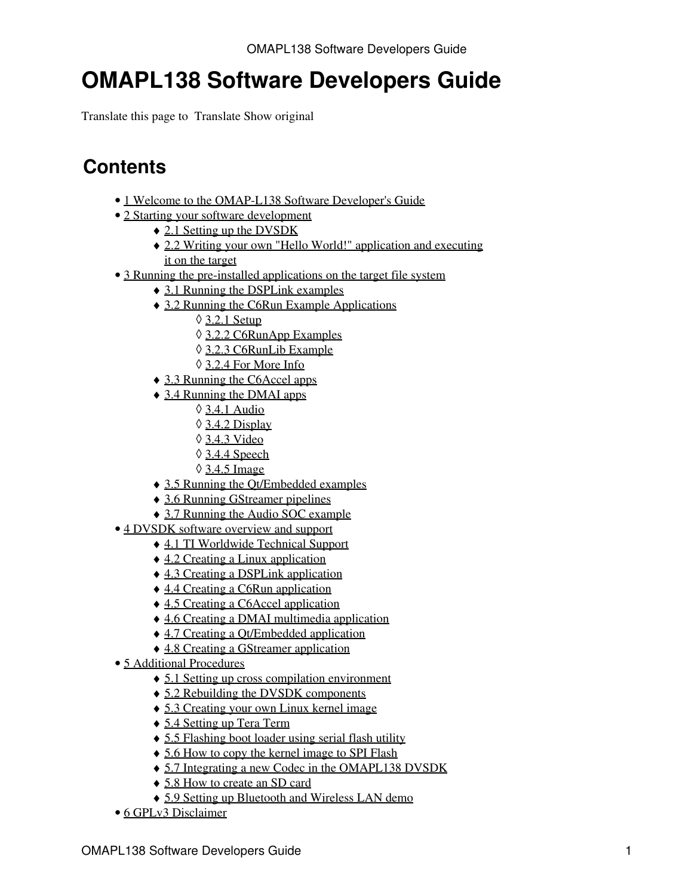Translate this page to Translate Show original

## **Contents**

- [1 Welcome to the OMAP-L138 Software Developer's Guide](#page-1-0)
- [2 Starting your software development](#page-1-1)
	- ♦ [2.1 Setting up the DVSDK](#page-1-2)
	- [2.2 Writing your own "Hello World!" application and executing](#page-2-0) ♦ [it on the target](#page-2-0)
- [3 Running the pre-installed applications on the target file system](#page-4-0)
	- ♦ [3.1 Running the DSPLink examples](#page-4-1)
	- [3.2 Running the C6Run Example Applications](#page-5-0) ♦
		- ◊ [3.2.1 Setup](#page-5-1)
		- ◊ [3.2.2 C6RunApp Examples](#page-5-2)
		- ◊ [3.2.3 C6RunLib Example](#page-5-3)
		- ◊ [3.2.4 For More Info](#page-6-0)
	- ♦ [3.3 Running the C6Accel apps](#page-6-1)
	- [3.4 Running the DMAI apps](#page-6-2) ♦
		- ◊ [3.4.1 Audio](#page-7-0)
		- ◊ [3.4.2 Display](#page-7-1)
		- ◊ [3.4.3 Video](#page-7-2)
		- ◊ [3.4.4 Speech](#page-7-3)
		- ◊ [3.4.5 Image](#page-7-4)
	- ♦ [3.5 Running the Qt/Embedded examples](#page-8-0)
	- ♦ [3.6 Running GStreamer pipelines](#page-8-1)
	- ♦ [3.7 Running the Audio SOC example](#page-10-0)
- [4 DVSDK software overview and support](#page-11-0)
	- ♦ [4.1 TI Worldwide Technical Support](#page-13-0)
	- ♦ [4.2 Creating a Linux application](#page-14-0)
	- ♦ [4.3 Creating a DSPLink application](#page-16-0)
	- ♦ [4.4 Creating a C6Run application](#page-17-0)
	- ♦ [4.5 Creating a C6Accel application](#page-19-0)
	- ♦ [4.6 Creating a DMAI multimedia application](#page-21-0)
	- ♦ [4.7 Creating a Qt/Embedded application](#page-22-0)
	- ♦ [4.8 Creating a GStreamer application](#page-24-0)
- [5 Additional Procedures](#page-25-0)
	- ♦ [5.1 Setting up cross compilation environment](#page-25-1)
	- ♦ [5.2 Rebuilding the DVSDK components](#page-25-2)
	- ♦ [5.3 Creating your own Linux kernel image](#page-26-0)
	- ♦ [5.4 Setting up Tera Term](#page-27-0)
	- ♦ [5.5 Flashing boot loader using serial flash utility](#page-28-0)
	- ♦ [5.6 How to copy the kernel image to SPI Flash](#page-29-0)
	- ♦ [5.7 Integrating a new Codec in the OMAPL138 DVSDK](#page-30-0)
	- ♦ [5.8 How to create an SD card](#page-34-0)
	- ♦ [5.9 Setting up Bluetooth and Wireless LAN demo](#page-35-0)
- [6 GPLv3 Disclaimer](#page-35-1)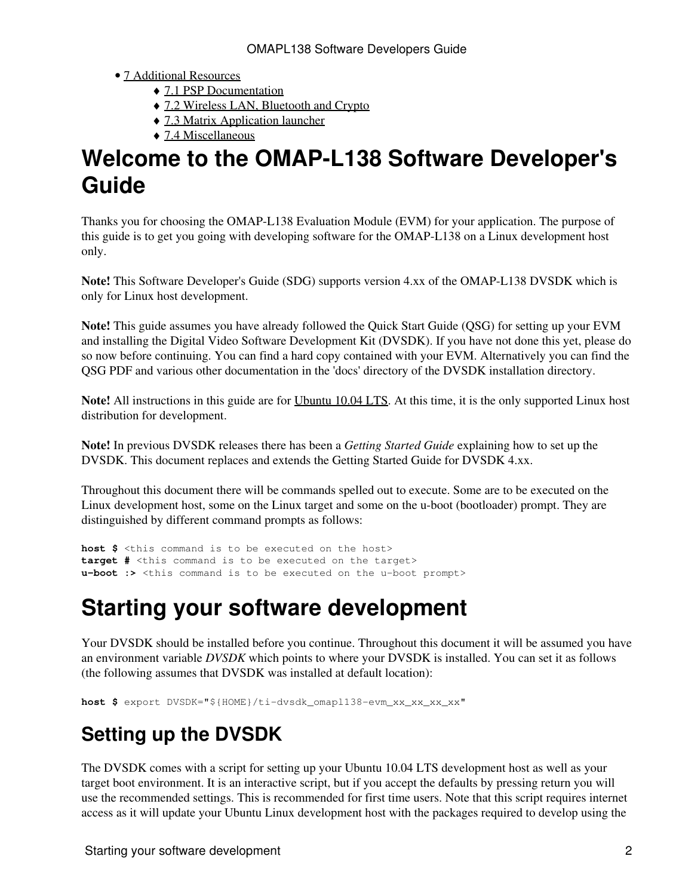#### • [7 Additional Resources](#page-35-2)

- ♦ [7.1 PSP Documentation](#page-35-3)
- ♦ [7.2 Wireless LAN, Bluetooth and Crypto](#page-35-4)
- ♦ [7.3 Matrix Application launcher](#page-36-0)
- ♦ [7.4 Miscellaneous](#page-36-1)

# <span id="page-1-0"></span>**Welcome to the OMAP-L138 Software Developer's Guide**

Thanks you for choosing the OMAP-L138 Evaluation Module (EVM) for your application. The purpose of this guide is to get you going with developing software for the OMAP-L138 on a Linux development host only.

**Note!** This Software Developer's Guide (SDG) supports version 4.xx of the OMAP-L138 DVSDK which is only for Linux host development.

**Note!** This guide assumes you have already followed the Quick Start Guide (QSG) for setting up your EVM and installing the Digital Video Software Development Kit (DVSDK). If you have not done this yet, please do so now before continuing. You can find a hard copy contained with your EVM. Alternatively you can find the QSG PDF and various other documentation in the 'docs' directory of the DVSDK installation directory.

**Note!** All instructions in this guide are for [Ubuntu 10.04 LTS](http://releases.ubuntu.com/10.04). At this time, it is the only supported Linux host distribution for development.

**Note!** In previous DVSDK releases there has been a *Getting Started Guide* explaining how to set up the DVSDK. This document replaces and extends the Getting Started Guide for DVSDK 4.xx.

Throughout this document there will be commands spelled out to execute. Some are to be executed on the Linux development host, some on the Linux target and some on the u-boot (bootloader) prompt. They are distinguished by different command prompts as follows:

```
host $ <this command is to be executed on the host>
target # <this command is to be executed on the target>
u-boot :> <this command is to be executed on the u-boot prompt>
```
# <span id="page-1-1"></span>**Starting your software development**

Your DVSDK should be installed before you continue. Throughout this document it will be assumed you have an environment variable *DVSDK* which points to where your DVSDK is installed. You can set it as follows (the following assumes that DVSDK was installed at default location):

```
host $ export DVSDK="${HOME}/ti-dvsdk_omapl138-evm_xx_xx_xx_xx"
```
# <span id="page-1-2"></span>**Setting up the DVSDK**

The DVSDK comes with a script for setting up your Ubuntu 10.04 LTS development host as well as your target boot environment. It is an interactive script, but if you accept the defaults by pressing return you will use the recommended settings. This is recommended for first time users. Note that this script requires internet access as it will update your Ubuntu Linux development host with the packages required to develop using the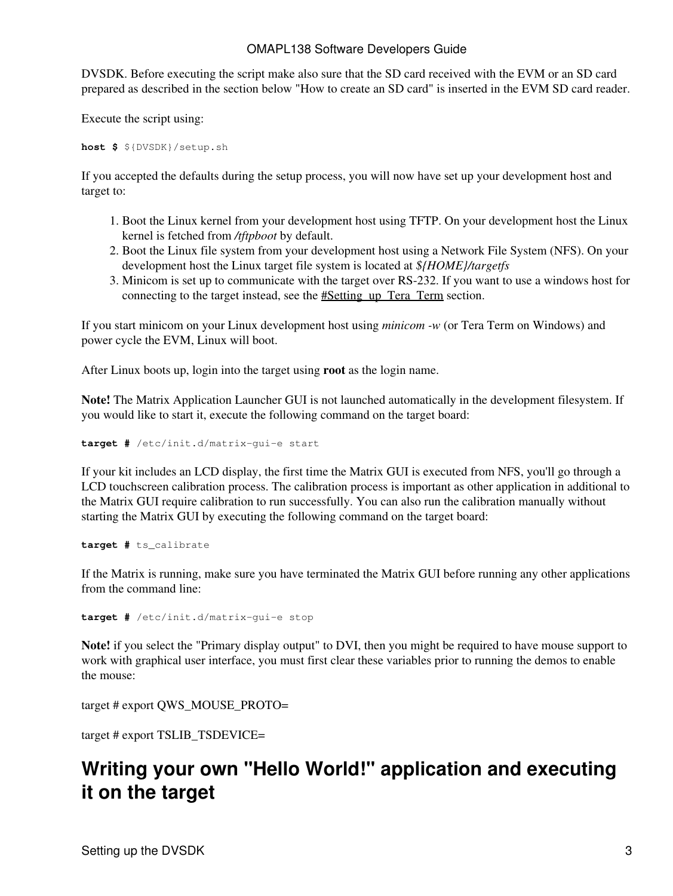DVSDK. Before executing the script make also sure that the SD card received with the EVM or an SD card prepared as described in the section below "How to create an SD card" is inserted in the EVM SD card reader.

Execute the script using:

**host \$** \${DVSDK}/setup.sh

If you accepted the defaults during the setup process, you will now have set up your development host and target to:

- 1. Boot the Linux kernel from your development host using TFTP. On your development host the Linux kernel is fetched from */tftpboot* by default.
- 2. Boot the Linux file system from your development host using a Network File System (NFS). On your development host the Linux target file system is located at *\${HOME}/targetfs*
- Minicom is set up to communicate with the target over RS-232. If you want to use a windows host for 3. connecting to the target instead, see the #Setting up Tera Term section.

If you start minicom on your Linux development host using *minicom -w* (or Tera Term on Windows) and power cycle the EVM, Linux will boot.

After Linux boots up, login into the target using **root** as the login name.

**Note!** The Matrix Application Launcher GUI is not launched automatically in the development filesystem. If you would like to start it, execute the following command on the target board:

**target #** /etc/init.d/matrix-gui-e start

If your kit includes an LCD display, the first time the Matrix GUI is executed from NFS, you'll go through a LCD touchscreen calibration process. The calibration process is important as other application in additional to the Matrix GUI require calibration to run successfully. You can also run the calibration manually without starting the Matrix GUI by executing the following command on the target board:

**target #** ts\_calibrate

If the Matrix is running, make sure you have terminated the Matrix GUI before running any other applications from the command line:

**target #** /etc/init.d/matrix-gui-e stop

**Note!** if you select the "Primary display output" to DVI, then you might be required to have mouse support to work with graphical user interface, you must first clear these variables prior to running the demos to enable the mouse:

target # export QWS\_MOUSE\_PROTO=

target # export TSLIB\_TSDEVICE=

## <span id="page-2-0"></span>**Writing your own "Hello World!" application and executing it on the target**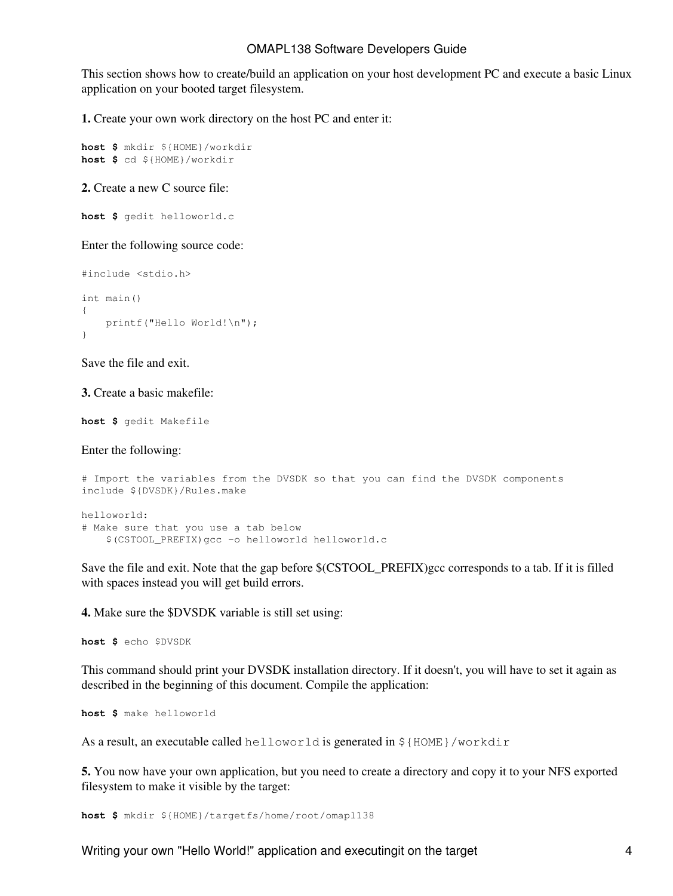This section shows how to create/build an application on your host development PC and execute a basic Linux application on your booted target filesystem.

**1.** Create your own work directory on the host PC and enter it:

```
host $ mkdir ${HOME}/workdir
host $ cd ${HOME}/workdir
```
**2.** Create a new C source file:

```
host $ gedit helloworld.c
```
Enter the following source code:

```
#include <stdio.h>
int main()
{
     printf("Hello World!\n");
}
```
Save the file and exit.

**3.** Create a basic makefile:

```
host $ gedit Makefile
```
Enter the following:

```
# Import the variables from the DVSDK so that you can find the DVSDK components
include ${DVSDK}/Rules.make
helloworld:
# Make sure that you use a tab below
     $(CSTOOL_PREFIX)gcc -o helloworld helloworld.c
```
Save the file and exit. Note that the gap before \$(CSTOOL\_PREFIX)gcc corresponds to a tab. If it is filled with spaces instead you will get build errors.

**4.** Make sure the \$DVSDK variable is still set using:

**host \$** echo \$DVSDK

This command should print your DVSDK installation directory. If it doesn't, you will have to set it again as described in the beginning of this document. Compile the application:

**host \$** make helloworld

As a result, an executable called helloworld is generated in  $\S$ {HOME}/workdir

**5.** You now have your own application, but you need to create a directory and copy it to your NFS exported filesystem to make it visible by the target:

**host \$** mkdir \${HOME}/targetfs/home/root/omapl138

Writing your own "Hello World!" application and executingit on the target 4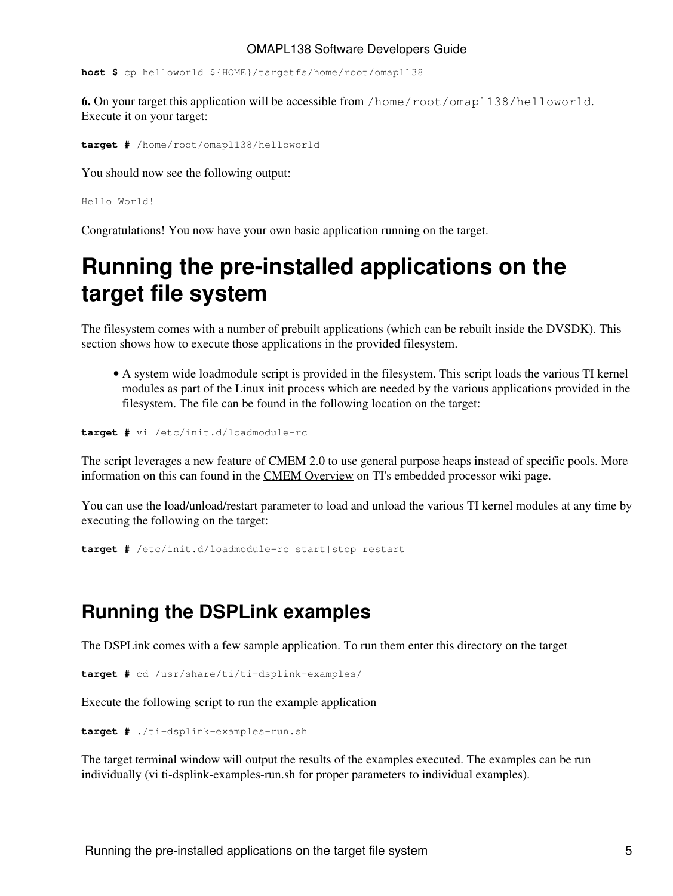**host \$** cp helloworld \${HOME}/targetfs/home/root/omapl138

**6.** On your target this application will be accessible from /home/root/omapl138/helloworld. Execute it on your target:

**target #** /home/root/omapl138/helloworld

You should now see the following output:

Hello World!

Congratulations! You now have your own basic application running on the target.

# <span id="page-4-0"></span>**Running the pre-installed applications on the target file system**

The filesystem comes with a number of prebuilt applications (which can be rebuilt inside the DVSDK). This section shows how to execute those applications in the provided filesystem.

A system wide loadmodule script is provided in the filesystem. This script loads the various TI kernel • modules as part of the Linux init process which are needed by the various applications provided in the filesystem. The file can be found in the following location on the target:

**target #** vi /etc/init.d/loadmodule-rc

The script leverages a new feature of CMEM 2.0 to use general purpose heaps instead of specific pools. More information on this can found in the [CMEM Overview](http://processors.wiki.ti.com/index.php/CMEM_Overview) on TI's embedded processor wiki page.

You can use the load/unload/restart parameter to load and unload the various TI kernel modules at any time by executing the following on the target:

**target #** /etc/init.d/loadmodule-rc start|stop|restart

### <span id="page-4-1"></span>**Running the DSPLink examples**

The DSPLink comes with a few sample application. To run them enter this directory on the target

**target #** cd /usr/share/ti/ti-dsplink-examples/

Execute the following script to run the example application

```
target # ./ti-dsplink-examples-run.sh
```
The target terminal window will output the results of the examples executed. The examples can be run individually (vi ti-dsplink-examples-run.sh for proper parameters to individual examples).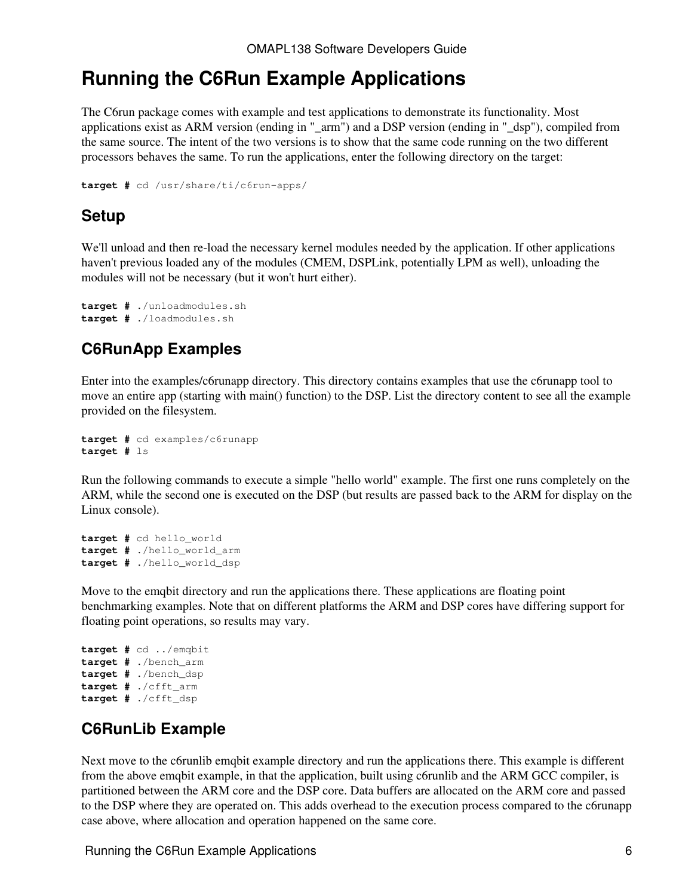### <span id="page-5-0"></span>**Running the C6Run Example Applications**

The C6run package comes with example and test applications to demonstrate its functionality. Most applications exist as ARM version (ending in "\_arm") and a DSP version (ending in "\_dsp"), compiled from the same source. The intent of the two versions is to show that the same code running on the two different processors behaves the same. To run the applications, enter the following directory on the target:

```
target # cd /usr/share/ti/c6run-apps/
```
### <span id="page-5-1"></span>**Setup**

We'll unload and then re-load the necessary kernel modules needed by the application. If other applications haven't previous loaded any of the modules (CMEM, DSPLink, potentially LPM as well), unloading the modules will not be necessary (but it won't hurt either).

```
target # ./unloadmodules.sh
target # ./loadmodules.sh
```
### <span id="page-5-2"></span>**C6RunApp Examples**

Enter into the examples/c6runapp directory. This directory contains examples that use the c6runapp tool to move an entire app (starting with main() function) to the DSP. List the directory content to see all the example provided on the filesystem.

```
target # cd examples/c6runapp
target # ls
```
Run the following commands to execute a simple "hello world" example. The first one runs completely on the ARM, while the second one is executed on the DSP (but results are passed back to the ARM for display on the Linux console).

```
target # cd hello_world
target # ./hello_world_arm
target # ./hello_world_dsp
```
Move to the emqbit directory and run the applications there. These applications are floating point benchmarking examples. Note that on different platforms the ARM and DSP cores have differing support for floating point operations, so results may vary.

```
target # cd ../emqbit
target # ./bench_arm
target # ./bench_dsp
target # ./cfft_arm
target # ./cfft_dsp
```
### <span id="page-5-3"></span>**C6RunLib Example**

Next move to the c6runlib emqbit example directory and run the applications there. This example is different from the above emqbit example, in that the application, built using c6runlib and the ARM GCC compiler, is partitioned between the ARM core and the DSP core. Data buffers are allocated on the ARM core and passed to the DSP where they are operated on. This adds overhead to the execution process compared to the c6runapp case above, where allocation and operation happened on the same core.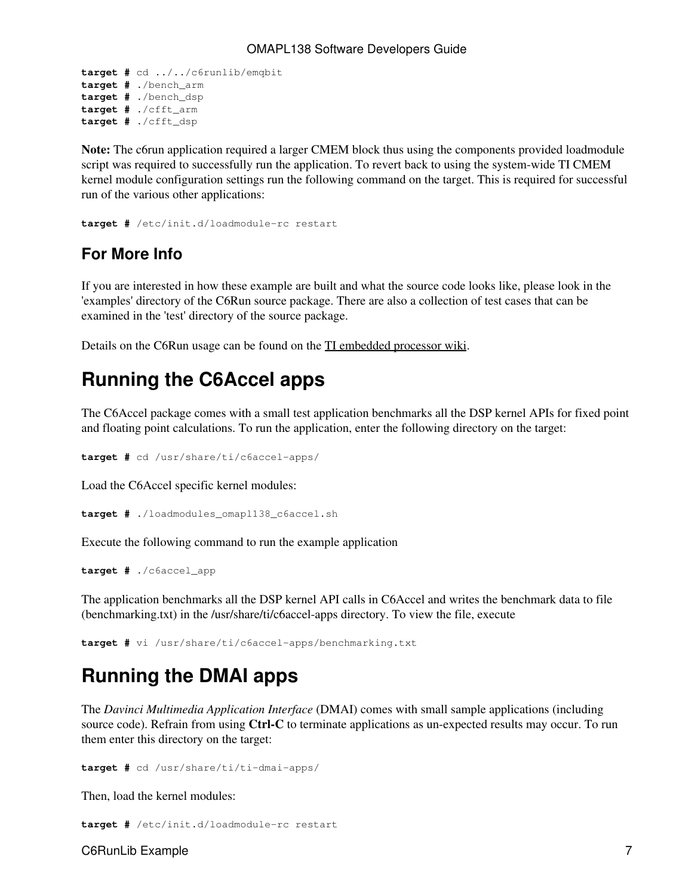```
target # cd ../../c6runlib/emqbit
target # ./bench_arm
target # ./bench_dsp
target # ./cfft_arm
target # ./cfft_dsp
```
**Note:** The c6run application required a larger CMEM block thus using the components provided loadmodule script was required to successfully run the application. To revert back to using the system-wide TI CMEM kernel module configuration settings run the following command on the target. This is required for successful run of the various other applications:

```
target # /etc/init.d/loadmodule-rc restart
```
### <span id="page-6-0"></span>**For More Info**

If you are interested in how these example are built and what the source code looks like, please look in the 'examples' directory of the C6Run source package. There are also a collection of test cases that can be examined in the 'test' directory of the source package.

Details on the C6Run usage can be found on the [TI embedded processor wiki.](http://processors.wiki.ti.com/index.php/C6Run_Project)

## <span id="page-6-1"></span>**Running the C6Accel apps**

The C6Accel package comes with a small test application benchmarks all the DSP kernel APIs for fixed point and floating point calculations. To run the application, enter the following directory on the target:

**target #** cd /usr/share/ti/c6accel-apps/

Load the C6Accel specific kernel modules:

**target #** ./loadmodules\_omapl138\_c6accel.sh

Execute the following command to run the example application

```
target # ./c6accel_app
```
The application benchmarks all the DSP kernel API calls in C6Accel and writes the benchmark data to file (benchmarking.txt) in the /usr/share/ti/c6accel-apps directory. To view the file, execute

**target #** vi /usr/share/ti/c6accel-apps/benchmarking.txt

## <span id="page-6-2"></span>**Running the DMAI apps**

The *Davinci Multimedia Application Interface* (DMAI) comes with small sample applications (including source code). Refrain from using **Ctrl-C** to terminate applications as un-expected results may occur. To run them enter this directory on the target:

```
target # cd /usr/share/ti/ti-dmai-apps/
```
Then, load the kernel modules:

**target #** /etc/init.d/loadmodule-rc restart

C6RunLib Example 7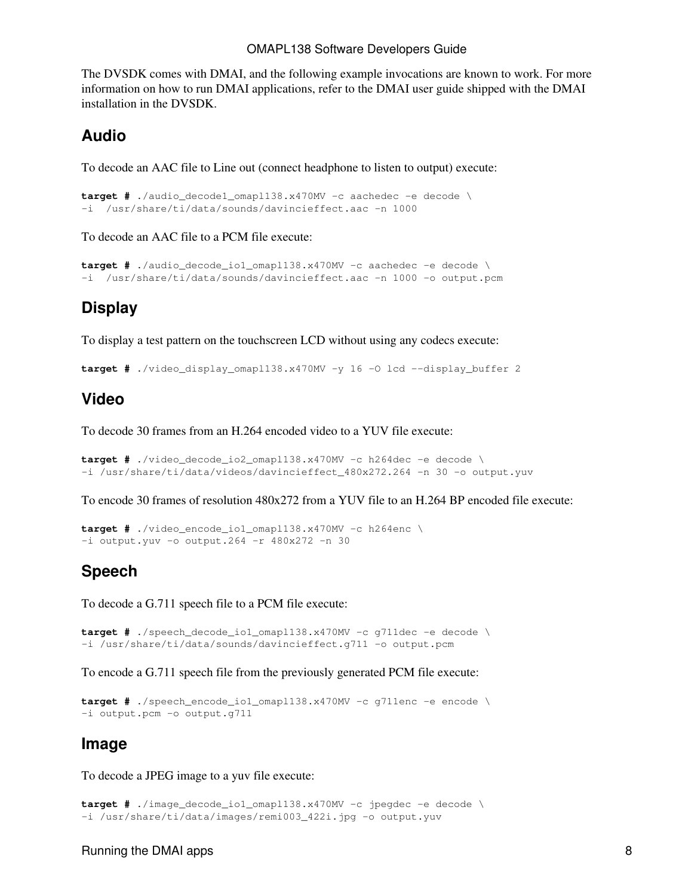The DVSDK comes with DMAI, and the following example invocations are known to work. For more information on how to run DMAI applications, refer to the DMAI user guide shipped with the DMAI installation in the DVSDK.

#### <span id="page-7-0"></span>**Audio**

To decode an AAC file to Line out (connect headphone to listen to output) execute:

```
target # ./audio_decode1_omapl138.x470MV -c aachedec -e decode \
-i /usr/share/ti/data/sounds/davincieffect.aac -n 1000
```
To decode an AAC file to a PCM file execute:

```
target # ./audio_decode_io1_omapl138.x470MV -c aachedec -e decode \
-i /usr/share/ti/data/sounds/davincieffect.aac -n 1000 -o output.pcm
```
### <span id="page-7-1"></span>**Display**

To display a test pattern on the touchscreen LCD without using any codecs execute:

**target #** ./video\_display\_omapl138.x470MV -y 16 -O lcd --display\_buffer 2

#### <span id="page-7-2"></span>**Video**

To decode 30 frames from an H.264 encoded video to a YUV file execute:

```
target # ./video_decode_io2_omapl138.x470MV -c h264dec -e decode \
-i /usr/share/ti/data/videos/davincieffect_480x272.264 -n 30 -o output.yuv
```
To encode 30 frames of resolution 480x272 from a YUV file to an H.264 BP encoded file execute:

```
target # ./video_encode_io1_omapl138.x470MV -c h264enc \
-i output.yuv -o output.264 -r 480x272 -n 30
```
#### <span id="page-7-3"></span>**Speech**

To decode a G.711 speech file to a PCM file execute:

```
target # ./speech_decode_io1_omapl138.x470MV -c g711dec -e decode \
-i /usr/share/ti/data/sounds/davincieffect.g711 -o output.pcm
```
To encode a G.711 speech file from the previously generated PCM file execute:

```
target # ./speech_encode_io1_omapl138.x470MV -c g711enc -e encode \
-i output.pcm -o output.g711
```
#### <span id="page-7-4"></span>**Image**

To decode a JPEG image to a yuv file execute:

```
target # ./image_decode_io1_omapl138.x470MV -c jpegdec -e decode \
-i /usr/share/ti/data/images/remi003_422i.jpg -o output.yuv
```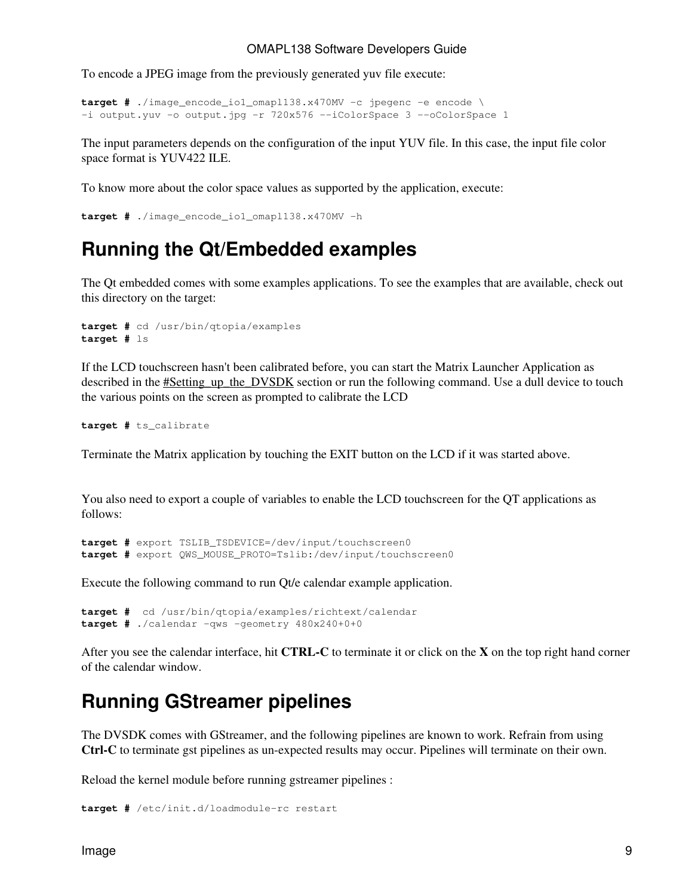To encode a JPEG image from the previously generated yuv file execute:

```
target # ./image_encode_io1_omapl138.x470MV -c jpegenc -e encode \
-i output.yuv -o output.jpg -r 720x576 --iColorSpace 3 --oColorSpace 1
```
The input parameters depends on the configuration of the input YUV file. In this case, the input file color space format is YUV422 ILE.

To know more about the color space values as supported by the application, execute:

```
target # ./image_encode_io1_omapl138.x470MV -h
```
### <span id="page-8-0"></span>**Running the Qt/Embedded examples**

The Qt embedded comes with some examples applications. To see the examples that are available, check out this directory on the target:

```
target # cd /usr/bin/qtopia/examples
target # ls
```
If the LCD touchscreen hasn't been calibrated before, you can start the Matrix Launcher Application as described in the **#Setting\_up\_the\_DVSDK** section or run the following command. Use a dull device to touch the various points on the screen as prompted to calibrate the LCD

**target #** ts\_calibrate

Terminate the Matrix application by touching the EXIT button on the LCD if it was started above.

You also need to export a couple of variables to enable the LCD touchscreen for the QT applications as follows:

**target #** export TSLIB\_TSDEVICE=/dev/input/touchscreen0 **target #** export QWS\_MOUSE\_PROTO=Tslib:/dev/input/touchscreen0

Execute the following command to run Qt/e calendar example application.

```
target # cd /usr/bin/qtopia/examples/richtext/calendar
target # ./calendar -qws -geometry 480x240+0+0
```
After you see the calendar interface, hit **CTRL-C** to terminate it or click on the **X** on the top right hand corner of the calendar window.

### <span id="page-8-1"></span>**Running GStreamer pipelines**

The DVSDK comes with GStreamer, and the following pipelines are known to work. Refrain from using **Ctrl-C** to terminate gst pipelines as un-expected results may occur. Pipelines will terminate on their own.

Reload the kernel module before running gstreamer pipelines :

**target #** /etc/init.d/loadmodule-rc restart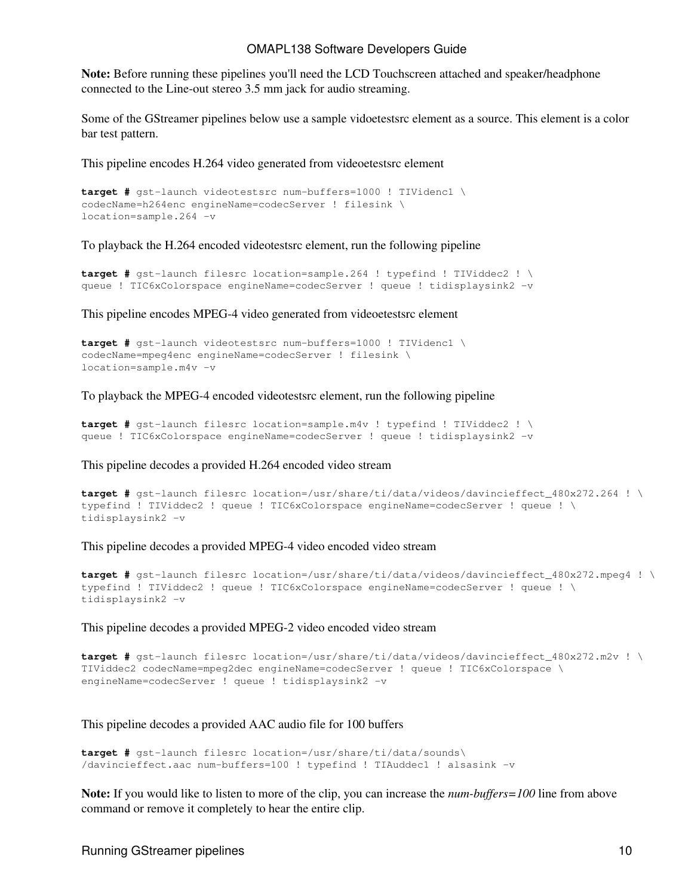**Note:** Before running these pipelines you'll need the LCD Touchscreen attached and speaker/headphone connected to the Line-out stereo 3.5 mm jack for audio streaming.

Some of the GStreamer pipelines below use a sample vidoetestsrc element as a source. This element is a color bar test pattern.

This pipeline encodes H.264 video generated from videoetestsrc element

```
target # gst-launch videotestsrc num-buffers=1000 ! TIVidenc1 \
codecName=h264enc engineName=codecServer ! filesink \
location=sample.264 -v
```
To playback the H.264 encoded videotestsrc element, run the following pipeline

```
target # gst-launch filesrc location=sample.264 ! typefind ! TIViddec2 ! \
queue ! TIC6xColorspace engineName=codecServer ! queue ! tidisplaysink2 -v
```
This pipeline encodes MPEG-4 video generated from videoetestsrc element

```
target # gst-launch videotestsrc num-buffers=1000 ! TIVidenc1 \
codecName=mpeg4enc engineName=codecServer ! filesink \
location=sample.m4v -v
```
To playback the MPEG-4 encoded videotestsrc element, run the following pipeline

```
target # gst-launch filesrc location=sample.m4v ! typefind ! TIViddec2 ! \
queue ! TIC6xColorspace engineName=codecServer ! queue ! tidisplaysink2 -v
```
This pipeline decodes a provided H.264 encoded video stream

```
target # gst-launch filesrc location=/usr/share/ti/data/videos/davincieffect 480x272.264 ! \
typefind ! TIViddec2 ! queue ! TIC6xColorspace engineName=codecServer ! queue ! \
tidisplaysink2 -v
```
This pipeline decodes a provided MPEG-4 video encoded video stream

```
target # gst-launch filesrc location=/usr/share/ti/data/videos/davincieffect_480x272.mpeg4 ! \
typefind ! TIViddec2 ! queue ! TIC6xColorspace engineName=codecServer ! queue ! \
tidisplaysink2 -v
```
This pipeline decodes a provided MPEG-2 video encoded video stream

```
target # gst-launch filesrc location=/usr/share/ti/data/videos/davincieffect 480x272.m2v ! \
TIViddec2 codecName=mpeg2dec engineName=codecServer ! queue ! TIC6xColorspace \
engineName=codecServer ! queue ! tidisplaysink2 -v
```
This pipeline decodes a provided AAC audio file for 100 buffers

```
target # gst-launch filesrc location=/usr/share/ti/data/sounds\
/davincieffect.aac num-buffers=100 ! typefind ! TIAuddec1 ! alsasink -v
```
**Note:** If you would like to listen to more of the clip, you can increase the *num-buffers=100* line from above command or remove it completely to hear the entire clip.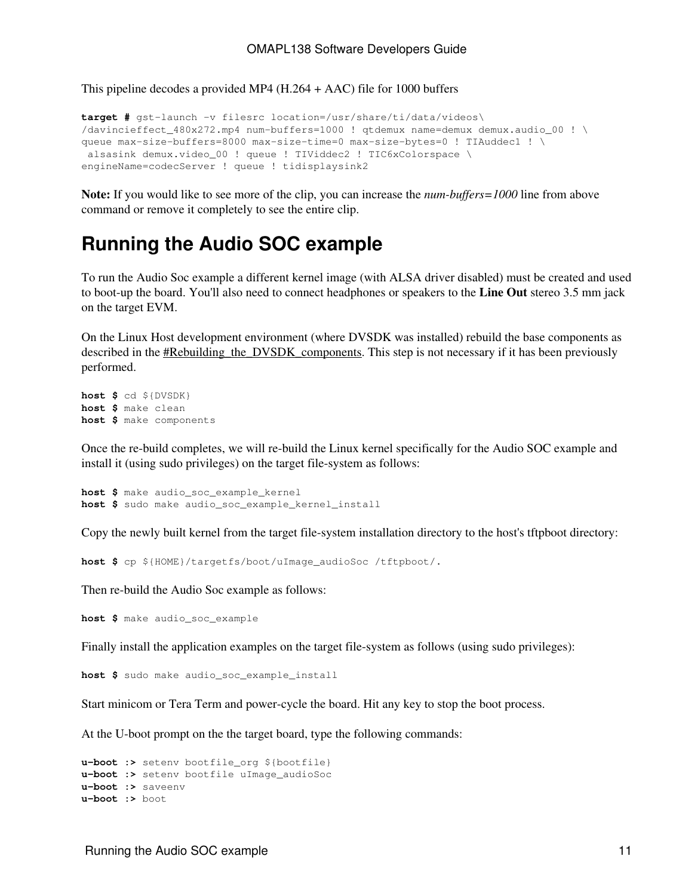This pipeline decodes a provided MP4 (H.264 + AAC) file for 1000 buffers

```
target # gst-launch -v filesrc location=/usr/share/ti/data/videos\
/davincieffect_480x272.mp4 num-buffers=1000 ! qtdemux name=demux demux.audio_00 ! \
queue max-size-buffers=8000 max-size-time=0 max-size-bytes=0 ! TIAuddec1 ! \
 alsasink demux.video_00 ! queue ! TIViddec2 ! TIC6xColorspace \
engineName=codecServer ! queue ! tidisplaysink2
```
**Note:** If you would like to see more of the clip, you can increase the *num-buffers=1000* line from above command or remove it completely to see the entire clip.

### <span id="page-10-0"></span>**Running the Audio SOC example**

To run the Audio Soc example a different kernel image (with ALSA driver disabled) must be created and used to boot-up the board. You'll also need to connect headphones or speakers to the **Line Out** stereo 3.5 mm jack on the target EVM.

On the Linux Host development environment (where DVSDK was installed) rebuild the base components as described in the **#Rebuilding\_the\_DVSDK\_components**. This step is not necessary if it has been previously performed.

```
host $ cd ${DVSDK}
host $ make clean
host $ make components
```
Once the re-build completes, we will re-build the Linux kernel specifically for the Audio SOC example and install it (using sudo privileges) on the target file-system as follows:

```
host $ make audio_soc_example_kernel
host $ sudo make audio_soc_example_kernel_install
```
Copy the newly built kernel from the target file-system installation directory to the host's tftpboot directory:

**host \$** cp \${HOME}/targetfs/boot/uImage\_audioSoc /tftpboot/.

Then re-build the Audio Soc example as follows:

**host \$** make audio\_soc\_example

Finally install the application examples on the target file-system as follows (using sudo privileges):

**host \$** sudo make audio\_soc\_example\_install

Start minicom or Tera Term and power-cycle the board. Hit any key to stop the boot process.

At the U-boot prompt on the the target board, type the following commands:

```
u-boot :> setenv bootfile_org ${bootfile}
u-boot :> setenv bootfile uImage_audioSoc
u-boot :> saveenv
u-boot :> boot
```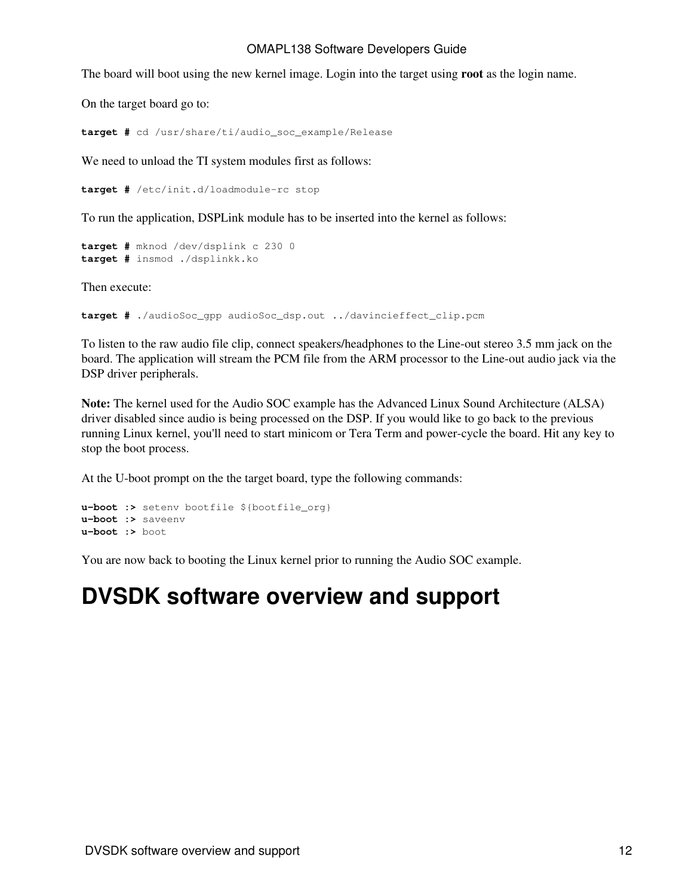The board will boot using the new kernel image. Login into the target using **root** as the login name.

On the target board go to:

**target #** cd /usr/share/ti/audio\_soc\_example/Release

We need to unload the TI system modules first as follows:

**target #** /etc/init.d/loadmodule-rc stop

To run the application, DSPLink module has to be inserted into the kernel as follows:

```
target # mknod /dev/dsplink c 230 0
target # insmod ./dsplinkk.ko
```
Then execute:

**target #** ./audioSoc\_gpp audioSoc\_dsp.out ../davincieffect\_clip.pcm

To listen to the raw audio file clip, connect speakers/headphones to the Line-out stereo 3.5 mm jack on the board. The application will stream the PCM file from the ARM processor to the Line-out audio jack via the DSP driver peripherals.

**Note:** The kernel used for the Audio SOC example has the Advanced Linux Sound Architecture (ALSA) driver disabled since audio is being processed on the DSP. If you would like to go back to the previous running Linux kernel, you'll need to start minicom or Tera Term and power-cycle the board. Hit any key to stop the boot process.

At the U-boot prompt on the the target board, type the following commands:

```
u-boot :> setenv bootfile ${bootfile org}
u-boot :> saveenv
u-boot :> boot
```
You are now back to booting the Linux kernel prior to running the Audio SOC example.

# <span id="page-11-0"></span>**DVSDK software overview and support**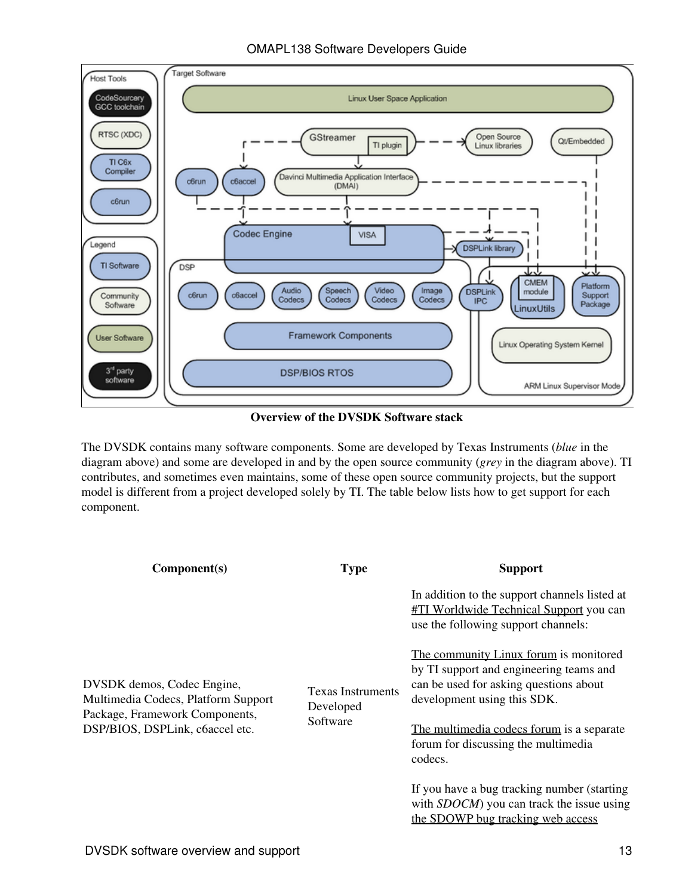OMAPL138 Software Developers Guide



**Overview of the DVSDK Software stack**

The DVSDK contains many software components. Some are developed by Texas Instruments (*blue* in the diagram above) and some are developed in and by the open source community (*grey* in the diagram above). TI contributes, and sometimes even maintains, some of these open source community projects, but the support model is different from a project developed solely by TI. The table below lists how to get support for each component.

| Component(s)                                                                                                                           | <b>Type</b>                           | <b>Support</b>                                                                                                                                             |
|----------------------------------------------------------------------------------------------------------------------------------------|---------------------------------------|------------------------------------------------------------------------------------------------------------------------------------------------------------|
| DVSDK demos, Codec Engine,<br>Multimedia Codecs, Platform Support<br>Package, Framework Components,<br>DSP/BIOS, DSPLink, c6accel etc. |                                       | In addition to the support channels listed at<br><b>#TI Worldwide Technical Support you can</b><br>use the following support channels:                     |
|                                                                                                                                        | <b>Texas Instruments</b><br>Developed | The community Linux forum is monitored<br>by TI support and engineering teams and<br>can be used for asking questions about<br>development using this SDK. |
|                                                                                                                                        | Software                              | The multimedia codecs forum is a separate<br>forum for discussing the multimedia<br>codecs.                                                                |
|                                                                                                                                        |                                       | If you have a bug tracking number (starting<br>with <i>SDOCM</i> ) you can track the issue using<br>the SDOWP bug tracking web access                      |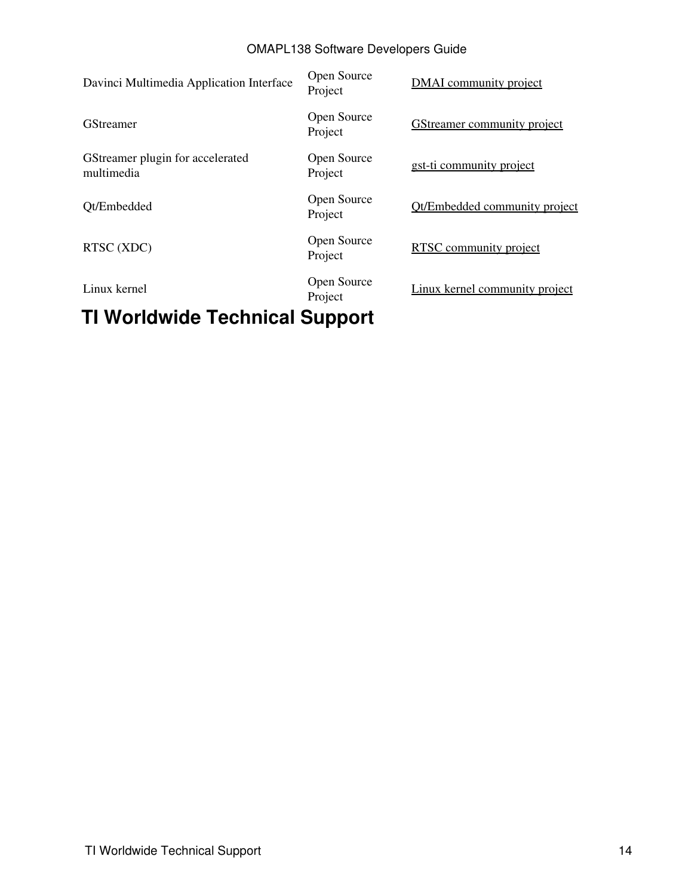| TU Wauldwide Teebnieel Cunneut                 |                        |                                    |
|------------------------------------------------|------------------------|------------------------------------|
| Linux kernel                                   | Open Source<br>Project | Linux kernel community project     |
| RTSC (XDC)                                     | Open Source<br>Project | RTSC community project             |
| Qt/Embedded                                    | Open Source<br>Project | Ot/Embedded community project      |
| GStreamer plugin for accelerated<br>multimedia | Open Source<br>Project | gst-ti community project           |
| <b>GStreamer</b>                               | Open Source<br>Project | <b>GStreamer community project</b> |
| Davinci Multimedia Application Interface       | Open Source<br>Project | <b>DMAI</b> community project      |

### <span id="page-13-0"></span>**TI Worldwide Technical Support**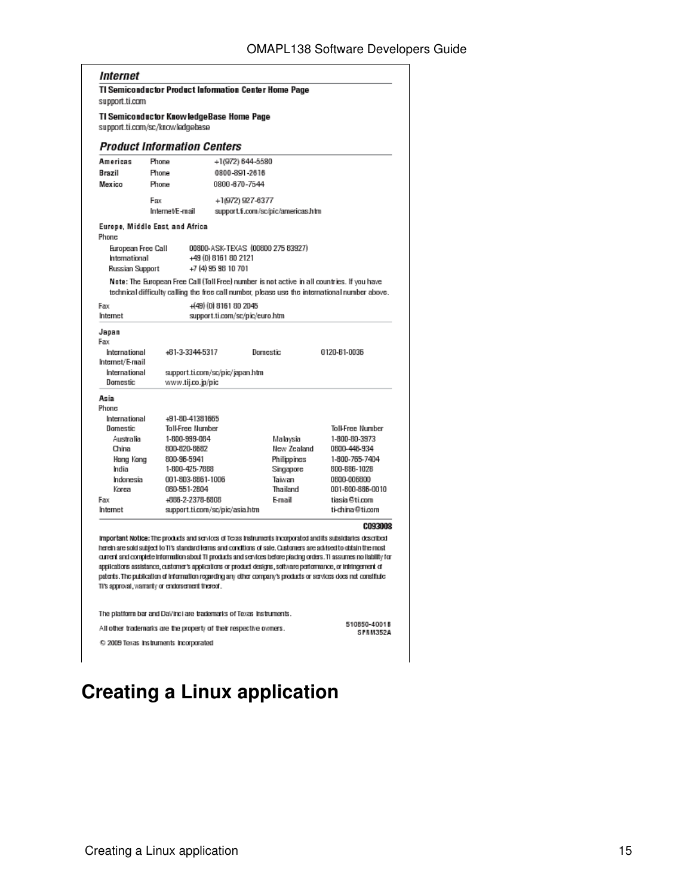#### Internet

**TI Semiconductor Product Information Center Home Page** support.ti.com

TI Semiconductor KnowledgeBase Home Page support.ti.com/sc/knowledgebase

#### **Product Information Centers**

| Americas                                                          | Phone |                   | +1(972) 644-5580                            |          |                                    |                                                                                                                                                                                                                                                                                                                                                                                                                                                                           |         |
|-------------------------------------------------------------------|-------|-------------------|---------------------------------------------|----------|------------------------------------|---------------------------------------------------------------------------------------------------------------------------------------------------------------------------------------------------------------------------------------------------------------------------------------------------------------------------------------------------------------------------------------------------------------------------------------------------------------------------|---------|
| Brazil                                                            | Phone |                   | 0800-891-2616                               |          |                                    |                                                                                                                                                                                                                                                                                                                                                                                                                                                                           |         |
| Mexico                                                            | Phone |                   | 0800-670-7544                               |          |                                    |                                                                                                                                                                                                                                                                                                                                                                                                                                                                           |         |
|                                                                   | Fax   |                   | +1(972) 927-6377                            |          |                                    |                                                                                                                                                                                                                                                                                                                                                                                                                                                                           |         |
| Internet/E-mail                                                   |       |                   |                                             |          | support.fi.com/sc/pic/americas.htm |                                                                                                                                                                                                                                                                                                                                                                                                                                                                           |         |
| Europe, Middle East and Africa<br>Phone                           |       |                   |                                             |          |                                    |                                                                                                                                                                                                                                                                                                                                                                                                                                                                           |         |
| European Free Call<br>International<br><b>Russian Support</b>     |       |                   | +49 (0) 8161 80 2121<br>+7 (4) 95 98 10 701 |          | 00800-ASK-TEXAS (00800 275 83927)  |                                                                                                                                                                                                                                                                                                                                                                                                                                                                           |         |
|                                                                   |       |                   |                                             |          |                                    | Note: The European Free Call (Toll Free) number is not active in all countries. If you have<br>technical difficulty calling the free call number, please use the international number above.                                                                                                                                                                                                                                                                              |         |
| Earc                                                              |       |                   | +(49) (0) 8161 80 2045                      |          |                                    |                                                                                                                                                                                                                                                                                                                                                                                                                                                                           |         |
| Internet                                                          |       |                   | support.ti.com/sc/pic/euro.htm              |          |                                    |                                                                                                                                                                                                                                                                                                                                                                                                                                                                           |         |
| Japan<br>Fax<br>International                                     |       | +61-3-3344-5317   |                                             | Domestic |                                    | 0120-81-0036                                                                                                                                                                                                                                                                                                                                                                                                                                                              |         |
| Internet/E-mail<br>International                                  |       |                   | support.ti.com/sc/pic/japan.htm             |          |                                    |                                                                                                                                                                                                                                                                                                                                                                                                                                                                           |         |
| Domestic                                                          |       | www.tij.co.jp/pic |                                             |          |                                    |                                                                                                                                                                                                                                                                                                                                                                                                                                                                           |         |
| Asia                                                              |       |                   |                                             |          |                                    |                                                                                                                                                                                                                                                                                                                                                                                                                                                                           |         |
| Phone:                                                            |       |                   |                                             |          |                                    |                                                                                                                                                                                                                                                                                                                                                                                                                                                                           |         |
| International                                                     |       | +91-80-41381665   |                                             |          |                                    |                                                                                                                                                                                                                                                                                                                                                                                                                                                                           |         |
| Domestic                                                          |       | Toll-Free Number  |                                             |          |                                    | <b>Toll-Free Number</b>                                                                                                                                                                                                                                                                                                                                                                                                                                                   |         |
| Australia                                                         |       | 1-800-999-064     |                                             |          | Malaysia                           | 1-800-80-3973                                                                                                                                                                                                                                                                                                                                                                                                                                                             |         |
| China                                                             |       | 800-820-8682      |                                             |          | Hew Zealand                        | 0600-446-934                                                                                                                                                                                                                                                                                                                                                                                                                                                              |         |
| Hong Kong                                                         |       | 800-96-5941       |                                             |          | Philippines                        | 1-800-765-7404                                                                                                                                                                                                                                                                                                                                                                                                                                                            |         |
| India                                                             |       | 1-800-425-7868    |                                             |          | Singapore                          | 800-886-1028                                                                                                                                                                                                                                                                                                                                                                                                                                                              |         |
| Indonesia                                                         |       | 001-803-8861-1006 |                                             |          | Taiwan                             | 0600-006800                                                                                                                                                                                                                                                                                                                                                                                                                                                               |         |
| Korea                                                             |       | 060-551-2804      |                                             |          | Thailand                           | 001-800-886-0010                                                                                                                                                                                                                                                                                                                                                                                                                                                          |         |
| Fax                                                               |       | +666-2-2378-6808  |                                             |          | F-mail                             | tiasia@ti.com                                                                                                                                                                                                                                                                                                                                                                                                                                                             |         |
| Internet                                                          |       |                   | support.ti.com/sc/pic/asia.htm              |          |                                    | ti-china@ti.com                                                                                                                                                                                                                                                                                                                                                                                                                                                           |         |
|                                                                   |       |                   |                                             |          |                                    |                                                                                                                                                                                                                                                                                                                                                                                                                                                                           | C093008 |
|                                                                   |       |                   |                                             |          |                                    | important Notice: The products and services of Texas Instruments incorporated and its subsidiaries described                                                                                                                                                                                                                                                                                                                                                              |         |
| This approval, warranty or endorsement thereof.                   |       |                   |                                             |          |                                    | herein are sold subject to TI's standard terms and conditions of sale. Customers are advised to obtain the most<br>current and complete information about TI products and services before plading orders. TI assumes no liability for<br>applications assistance, customer's applications or product designs , software performance, or infringement of<br>patents. The publication of information regarding any other company's products or services does not constitute |         |
| The platform bar and DaVinci are trademarks of Texas instruments. |       |                   |                                             |          |                                    |                                                                                                                                                                                                                                                                                                                                                                                                                                                                           |         |

All other trademarks are the property of their respective owners.

510850-40018<br>SPRM352A

Τ

@ 2009 Texas Instruments Incorporated

# <span id="page-14-0"></span>**Creating a Linux application**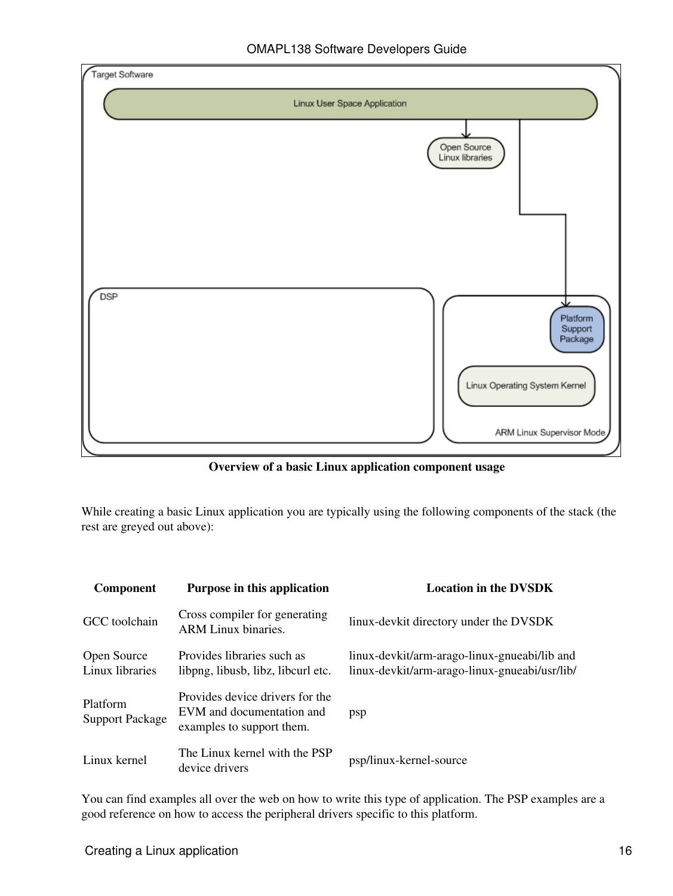

**Overview of a basic Linux application component usage**

While creating a basic Linux application you are typically using the following components of the stack (the rest are greyed out above):

| <b>Component</b>                   | Purpose in this application                                                               | <b>Location in the DVSDK</b>                                                                  |
|------------------------------------|-------------------------------------------------------------------------------------------|-----------------------------------------------------------------------------------------------|
| GCC toolchain                      | Cross compiler for generating<br><b>ARM Linux binaries.</b>                               | linux-devkit directory under the DVSDK                                                        |
| Open Source<br>Linux libraries     | Provides libraries such as<br>libpng, libusb, libz, libcurl etc.                          | linux-devkit/arm-arago-linux-gnueabi/lib and<br>linux-devkit/arm-arago-linux-gnueabi/usr/lib/ |
| Platform<br><b>Support Package</b> | Provides device drivers for the<br>EVM and documentation and<br>examples to support them. | psp                                                                                           |
| Linux kernel                       | The Linux kernel with the PSP<br>device drivers                                           | psp/linux-kernel-source                                                                       |

You can find examples all over the web on how to write this type of application. The PSP examples are a good reference on how to access the peripheral drivers specific to this platform.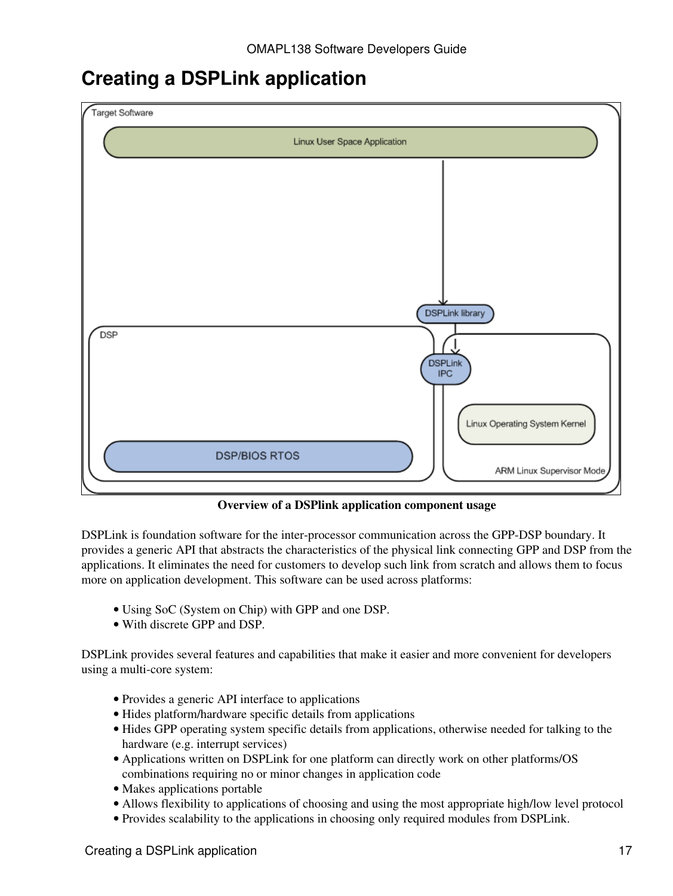## <span id="page-16-0"></span>**Creating a DSPLink application**



**Overview of a DSPlink application component usage**

DSPLink is foundation software for the inter-processor communication across the GPP-DSP boundary. It provides a generic API that abstracts the characteristics of the physical link connecting GPP and DSP from the applications. It eliminates the need for customers to develop such link from scratch and allows them to focus more on application development. This software can be used across platforms:

- Using SoC (System on Chip) with GPP and one DSP.
- With discrete GPP and DSP.

DSPLink provides several features and capabilities that make it easier and more convenient for developers using a multi-core system:

- Provides a generic API interface to applications
- Hides platform/hardware specific details from applications
- Hides GPP operating system specific details from applications, otherwise needed for talking to the hardware (e.g. interrupt services)
- Applications written on DSPLink for one platform can directly work on other platforms/OS combinations requiring no or minor changes in application code
- Makes applications portable
- Allows flexibility to applications of choosing and using the most appropriate high/low level protocol
- Provides scalability to the applications in choosing only required modules from DSPLink.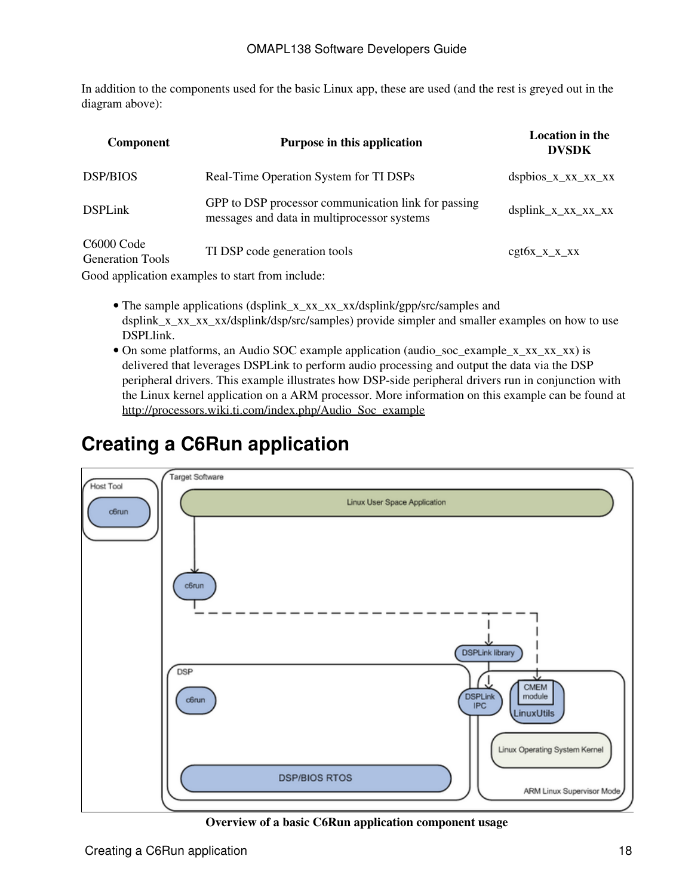In addition to the components used for the basic Linux app, these are used (and the rest is greyed out in the diagram above):

| <b>Component</b>                      | Purpose in this application                                                                        | <b>Location</b> in the<br><b>DVSDK</b> |
|---------------------------------------|----------------------------------------------------------------------------------------------------|----------------------------------------|
| <b>DSP/BIOS</b>                       | Real-Time Operation System for TI DSPs                                                             | $dsphios_xxx_xx_xx$                    |
| <b>DSPLink</b>                        | GPP to DSP processor communication link for passing<br>messages and data in multiprocessor systems | $dsplink_x_xx_xx_xx_xx$                |
| C6000 Code<br><b>Generation Tools</b> | TI DSP code generation tools                                                                       | $cgt6x_x_x_x_x$                        |
|                                       | Good application examples to start from include:                                                   |                                        |

- The sample applications (dsplink\_x\_xx\_xx\_xx/dsplink/gpp/src/samples and dsplink\_x\_xx\_xx/dsplink/dsp/src/samples) provide simpler and smaller examples on how to use DSPLlink.
- On some platforms, an Audio SOC example application (audio\_soc\_example\_x\_xx\_xx\_xx) is delivered that leverages DSPLink to perform audio processing and output the data via the DSP peripheral drivers. This example illustrates how DSP-side peripheral drivers run in conjunction with the Linux kernel application on a ARM processor. More information on this example can be found at [http://processors.wiki.ti.com/index.php/Audio\\_Soc\\_example](http://processors.wiki.ti.com/index.php/Audio_Soc_example)

## <span id="page-17-0"></span>**Creating a C6Run application**



**Overview of a basic C6Run application component usage**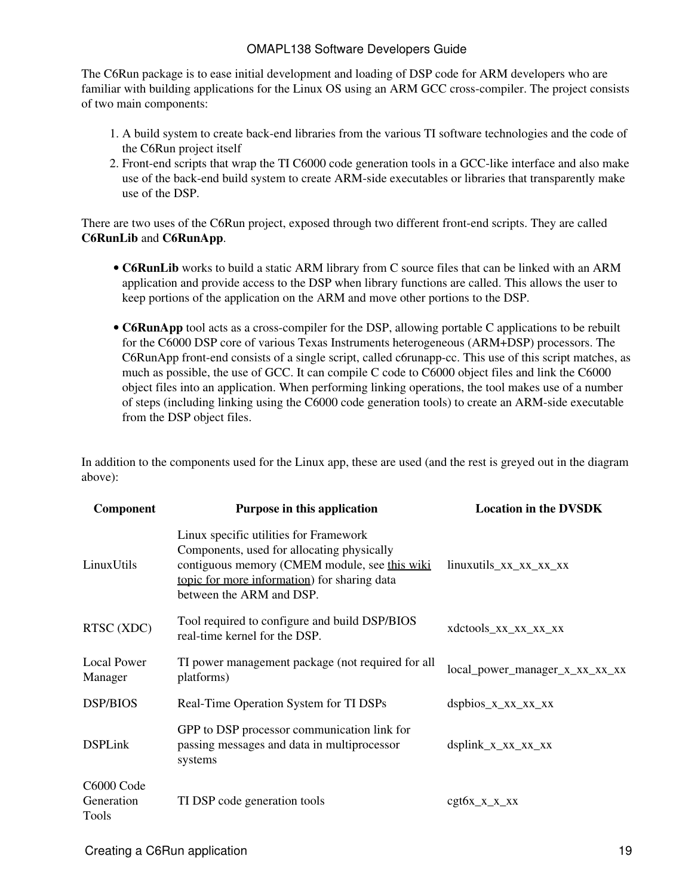The C6Run package is to ease initial development and loading of DSP code for ARM developers who are familiar with building applications for the Linux OS using an ARM GCC cross-compiler. The project consists of two main components:

- 1. A build system to create back-end libraries from the various TI software technologies and the code of the C6Run project itself
- 2. Front-end scripts that wrap the TI C6000 code generation tools in a GCC-like interface and also make use of the back-end build system to create ARM-side executables or libraries that transparently make use of the DSP.

There are two uses of the C6Run project, exposed through two different front-end scripts. They are called **C6RunLib** and **C6RunApp**.

- C6RunLib works to build a static ARM library from C source files that can be linked with an ARM application and provide access to the DSP when library functions are called. This allows the user to keep portions of the application on the ARM and move other portions to the DSP.
- C6RunApp tool acts as a cross-compiler for the DSP, allowing portable C applications to be rebuilt for the C6000 DSP core of various Texas Instruments heterogeneous (ARM+DSP) processors. The C6RunApp front-end consists of a single script, called c6runapp-cc. This use of this script matches, as much as possible, the use of GCC. It can compile C code to C6000 object files and link the C6000 object files into an application. When performing linking operations, the tool makes use of a number of steps (including linking using the C6000 code generation tools) to create an ARM-side executable from the DSP object files.

In addition to the components used for the Linux app, these are used (and the rest is greyed out in the diagram above):

| Component                         | Purpose in this application                                                                                                                                                                                       | <b>Location in the DVSDK</b>     |
|-----------------------------------|-------------------------------------------------------------------------------------------------------------------------------------------------------------------------------------------------------------------|----------------------------------|
| LinuxUtils                        | Linux specific utilities for Framework<br>Components, used for allocating physically<br>contiguous memory (CMEM module, see this wiki<br>topic for more information) for sharing data<br>between the ARM and DSP. | $linuxutils_{XX_{XX_{XX_{XX}}}}$ |
| RTSC (XDC)                        | Tool required to configure and build DSP/BIOS<br>real-time kernel for the DSP.                                                                                                                                    | xdctools_xx_xx_xx_xx             |
| Local Power<br>Manager            | TI power management package (not required for all<br>platforms)                                                                                                                                                   | local_power_manager_x_xx_xx_xx   |
| <b>DSP/BIOS</b>                   | Real-Time Operation System for TI DSPs                                                                                                                                                                            | $dsphios_x_xx_xx_xx_xx$          |
| <b>DSPLink</b>                    | GPP to DSP processor communication link for<br>passing messages and data in multiprocessor<br>systems                                                                                                             | $dsplink_x_xx_xx_xx_xx$          |
| C6000 Code<br>Generation<br>Tools | TI DSP code generation tools                                                                                                                                                                                      | $cgt6x_x_x_x_x$                  |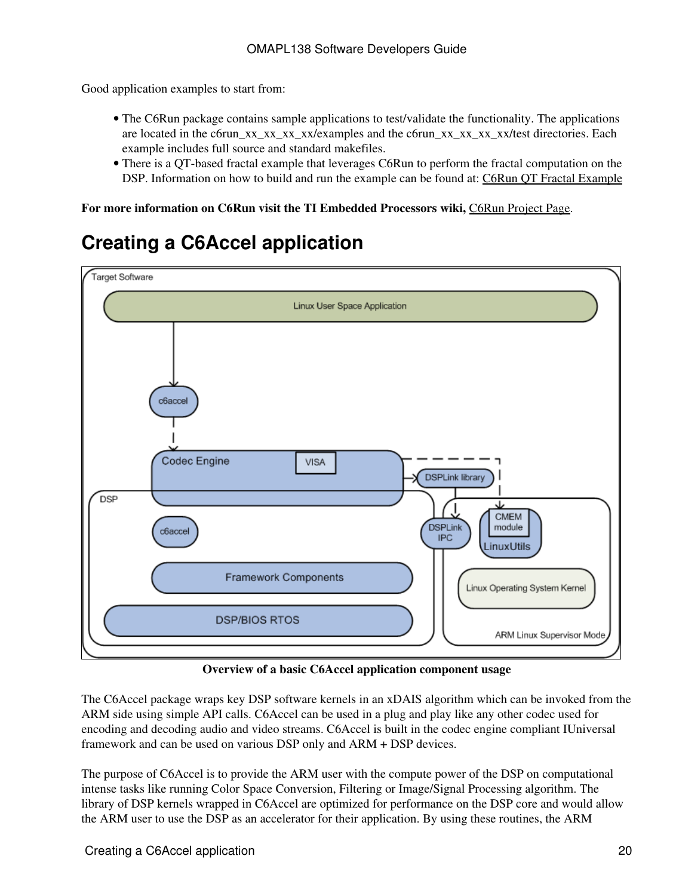Good application examples to start from:

- The C6Run package contains sample applications to test/validate the functionality. The applications are located in the c6run\_xx\_xx\_xx\_xx<sup>2</sup>examples and the c6run\_xx\_xx\_xx\_xx<sup>2</sup>/test directories. Each example includes full source and standard makefiles.
- There is a QT-based fractal example that leverages C6Run to perform the fractal computation on the DSP. Information on how to build and run the example can be found at: [C6Run QT Fractal Example](http://processors.wiki.ti.com/index.php/C6Run_QT_Fractal_Example)

**For more information on C6Run visit the TI Embedded Processors wiki,** [C6Run Project Page](http://processors.wiki.ti.com/index.php/C6Run_Project).

## <span id="page-19-0"></span>**Creating a C6Accel application**



**Overview of a basic C6Accel application component usage**

The C6Accel package wraps key DSP software kernels in an xDAIS algorithm which can be invoked from the ARM side using simple API calls. C6Accel can be used in a plug and play like any other codec used for encoding and decoding audio and video streams. C6Accel is built in the codec engine compliant IUniversal framework and can be used on various DSP only and ARM + DSP devices.

The purpose of C6Accel is to provide the ARM user with the compute power of the DSP on computational intense tasks like running Color Space Conversion, Filtering or Image/Signal Processing algorithm. The library of DSP kernels wrapped in C6Accel are optimized for performance on the DSP core and would allow the ARM user to use the DSP as an accelerator for their application. By using these routines, the ARM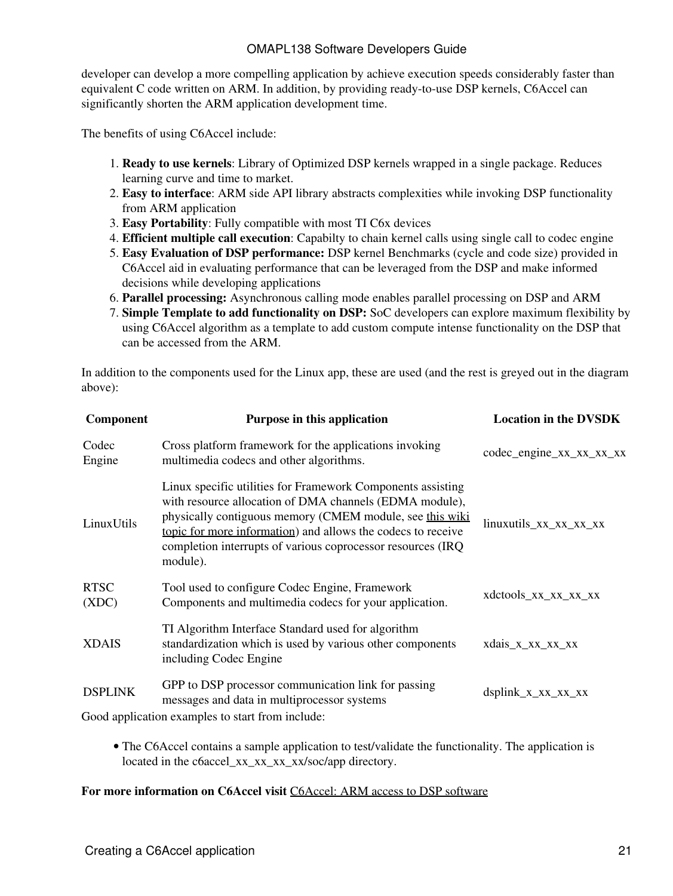developer can develop a more compelling application by achieve execution speeds considerably faster than equivalent C code written on ARM. In addition, by providing ready-to-use DSP kernels, C6Accel can significantly shorten the ARM application development time.

The benefits of using C6Accel include:

- **Ready to use kernels**: Library of Optimized DSP kernels wrapped in a single package. Reduces 1. learning curve and time to market.
- **Easy to interface**: ARM side API library abstracts complexities while invoking DSP functionality 2. from ARM application
- 3. **Easy Portability**: Fully compatible with most TI C6x devices
- 4. **Efficient multiple call execution**: Capabilty to chain kernel calls using single call to codec engine
- **Easy Evaluation of DSP performance:** DSP kernel Benchmarks (cycle and code size) provided in 5. C6Accel aid in evaluating performance that can be leveraged from the DSP and make informed decisions while developing applications
- 6. **Parallel processing:** Asynchronous calling mode enables parallel processing on DSP and ARM
- **Simple Template to add functionality on DSP:** SoC developers can explore maximum flexibility by 7. using C6Accel algorithm as a template to add custom compute intense functionality on the DSP that can be accessed from the ARM.

In addition to the components used for the Linux app, these are used (and the rest is greyed out in the diagram above):

| Component            | Purpose in this application                                                                                                                                                                                                                                                                                                   | <b>Location in the DVSDK</b> |  |  |
|----------------------|-------------------------------------------------------------------------------------------------------------------------------------------------------------------------------------------------------------------------------------------------------------------------------------------------------------------------------|------------------------------|--|--|
| Codec<br>Engine      | Cross platform framework for the applications invoking<br>multimedia codecs and other algorithms.                                                                                                                                                                                                                             | codec_engine_xx_xx_xx_xx     |  |  |
| LinuxUtils           | Linux specific utilities for Framework Components assisting<br>with resource allocation of DMA channels (EDMA module),<br>physically contiguous memory (CMEM module, see this wiki<br>topic for more information) and allows the codecs to receive<br>completion interrupts of various coprocessor resources (IRQ<br>module). | linuxutils_xx_xx_xx_xx       |  |  |
| <b>RTSC</b><br>(XDC) | Tool used to configure Codec Engine, Framework<br>Components and multimedia codecs for your application.                                                                                                                                                                                                                      | xdctools_xx_xx_xx_xx         |  |  |
| <b>XDAIS</b>         | TI Algorithm Interface Standard used for algorithm<br>standardization which is used by various other components<br>including Codec Engine                                                                                                                                                                                     | xdais_x_xx_xx_xx             |  |  |
| <b>DSPLINK</b>       | GPP to DSP processor communication link for passing<br>messages and data in multiprocessor systems                                                                                                                                                                                                                            | $dsplink_x_xx_xx_xx_xx$      |  |  |
|                      | Good application examples to start from include:                                                                                                                                                                                                                                                                              |                              |  |  |

• The C6Accel contains a sample application to test/validate the functionality. The application is located in the c6accel xx\_xx\_xx\_xx/soc/app directory.

#### **For more information on C6Accel visit** [C6Accel: ARM access to DSP software](http://processors.wiki.ti.com/index.php/C6Accel:_ARM_access_to_DSP_software_on_TI_SoCs)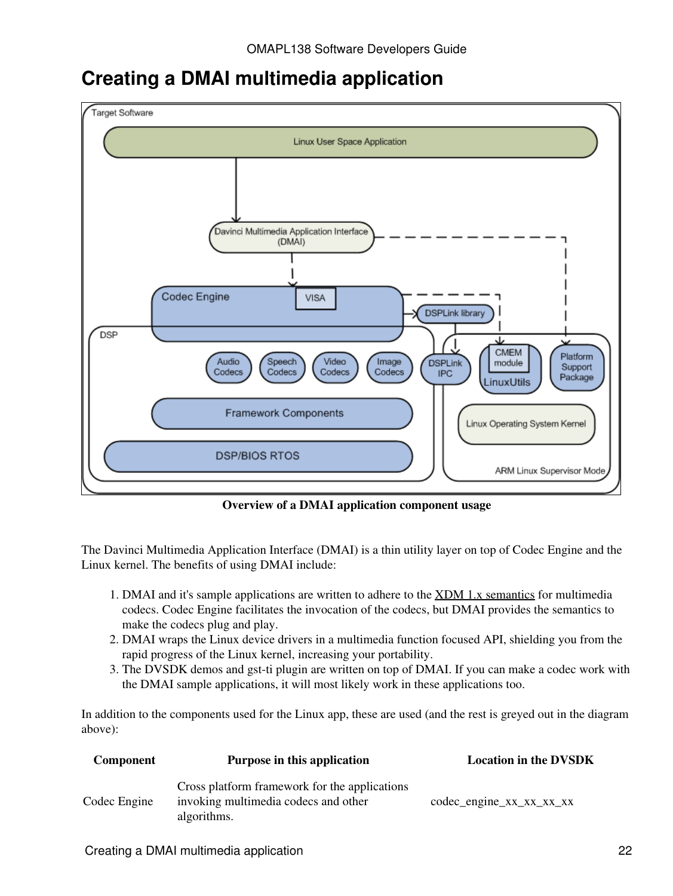### <span id="page-21-0"></span>**Creating a DMAI multimedia application**



**Overview of a DMAI application component usage**

The Davinci Multimedia Application Interface (DMAI) is a thin utility layer on top of Codec Engine and the Linux kernel. The benefits of using DMAI include:

- 1. DMAI and it's sample applications are written to adhere to the [XDM 1.x semantics](http://processors.wiki.ti.com/index.php/XDM_1.x_Semantics) for multimedia codecs. Codec Engine facilitates the invocation of the codecs, but DMAI provides the semantics to make the codecs plug and play.
- 2. DMAI wraps the Linux device drivers in a multimedia function focused API, shielding you from the rapid progress of the Linux kernel, increasing your portability.
- 3. The DVSDK demos and gst-ti plugin are written on top of DMAI. If you can make a codec work with the DMAI sample applications, it will most likely work in these applications too.

In addition to the components used for the Linux app, these are used (and the rest is greyed out in the diagram above):

| Component    | Purpose in this application                                                                          | <b>Location in the DVSDK</b>     |
|--------------|------------------------------------------------------------------------------------------------------|----------------------------------|
| Codec Engine | Cross platform framework for the applications<br>invoking multimedia codecs and other<br>algorithms. | $codec$ -engine $xx_xx_xx_xx_xx$ |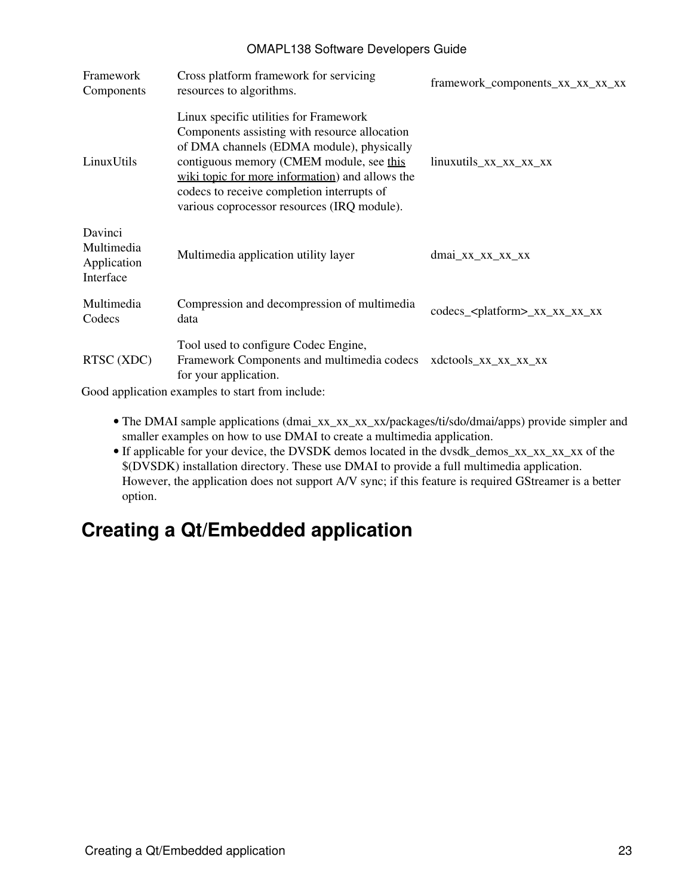| Framework<br>Components                           | Cross platform framework for servicing<br>resources to algorithms.                                                                                                                                                                                                                                                               | framework_components_xx_xx_xx_xx          |
|---------------------------------------------------|----------------------------------------------------------------------------------------------------------------------------------------------------------------------------------------------------------------------------------------------------------------------------------------------------------------------------------|-------------------------------------------|
| LinuxUtils                                        | Linux specific utilities for Framework<br>Components assisting with resource allocation<br>of DMA channels (EDMA module), physically<br>contiguous memory (CMEM module, see this<br>wiki topic for more information) and allows the<br>codecs to receive completion interrupts of<br>various coprocessor resources (IRQ module). | $linuxutils_{xx_{xx_{xx}}xx_{xx}}$        |
| Davinci<br>Multimedia<br>Application<br>Interface | Multimedia application utility layer                                                                                                                                                                                                                                                                                             | $dmai_XX_XX_XX_XX_XX$                     |
| Multimedia<br>Codecs                              | Compression and decompression of multimedia<br>data                                                                                                                                                                                                                                                                              | codecs_ <platform>_xx_xx_xx_xx</platform> |
| RTSC (XDC)                                        | Tool used to configure Codec Engine,<br>Framework Components and multimedia codecs<br>for your application.<br>$\alpha$ . The set of the state of the second contract $\alpha$ , $\alpha$ , $\alpha$ , $\alpha$ , $\alpha$ , $\alpha$ , $\alpha$                                                                                 | xdctools_xx_xx_xx_xx                      |

Good application examples to start from include:

- The DMAI sample applications (dmai\_xx\_xx\_xx\_xx/packages/ti/sdo/dmai/apps) provide simpler and smaller examples on how to use DMAI to create a multimedia application.
- If applicable for your device, the DVSDK demos located in the dvsdk\_demos\_xx\_xx\_xx\_xx of the \$(DVSDK) installation directory. These use DMAI to provide a full multimedia application. However, the application does not support A/V sync; if this feature is required GStreamer is a better option.

## <span id="page-22-0"></span>**Creating a Qt/Embedded application**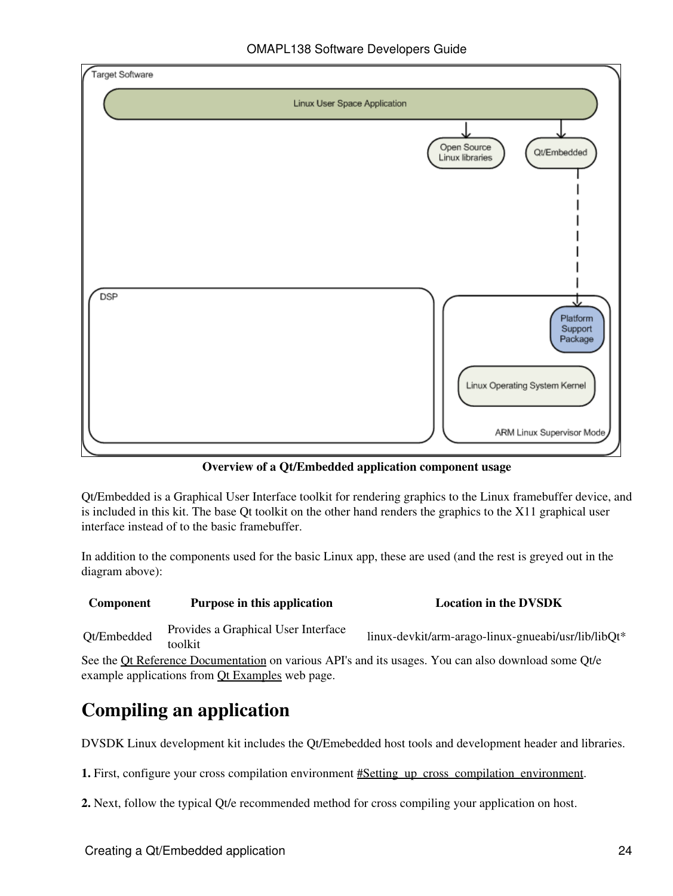

**Overview of a Qt/Embedded application component usage**

Qt/Embedded is a Graphical User Interface toolkit for rendering graphics to the Linux framebuffer device, and is included in this kit. The base Qt toolkit on the other hand renders the graphics to the X11 graphical user interface instead of to the basic framebuffer.

In addition to the components used for the basic Linux app, these are used (and the rest is greyed out in the diagram above):

### **Component Purpose in this application Location Location in the DVSDK** Qt/Embedded Provides a Graphical User Interface linux-devkit/arm-arago-linux-gnueabi/usr/lib/libQt\*

See the [Qt Reference Documentation](http://doc.trolltech.com/4.6/index.html) on various API's and its usages. You can also download some Qt/e

example applications from **Qt Examples** web page.

# **Compiling an application**

DVSDK Linux development kit includes the Qt/Emebedded host tools and development header and libraries.

**1.** First, configure your cross compilation environment #Setting up cross compilation environment.

**2.** Next, follow the typical Qt/e recommended method for cross compiling your application on host.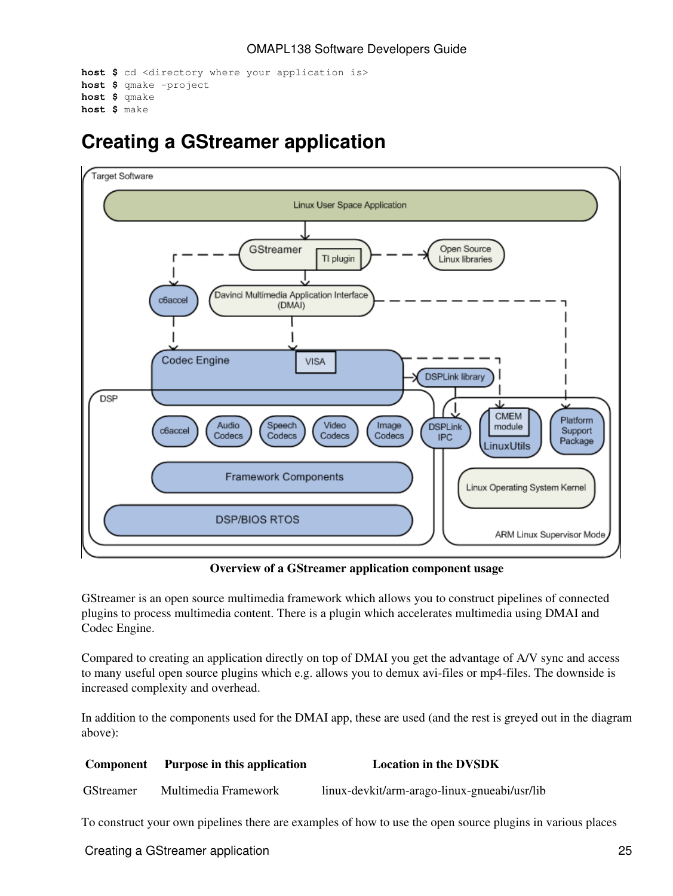```
host $ cd <directory where your application is>
host $ qmake -project
host $ qmake
host $ make
```
## <span id="page-24-0"></span>**Creating a GStreamer application**



**Overview of a GStreamer application component usage**

GStreamer is an open source multimedia framework which allows you to construct pipelines of connected plugins to process multimedia content. There is a plugin which accelerates multimedia using DMAI and Codec Engine.

Compared to creating an application directly on top of DMAI you get the advantage of A/V sync and access to many useful open source plugins which e.g. allows you to demux avi-files or mp4-files. The downside is increased complexity and overhead.

In addition to the components used for the DMAI app, these are used (and the rest is greyed out in the diagram above):

| <b>Component</b> | Purpose in this application | <b>Location in the DVSDK</b>                 |
|------------------|-----------------------------|----------------------------------------------|
| <b>GStreamer</b> | Multimedia Framework        | linux-devkit/arm-arago-linux-gnueabi/usr/lib |
|                  |                             |                                              |

To construct your own pipelines there are examples of how to use the open source plugins in various places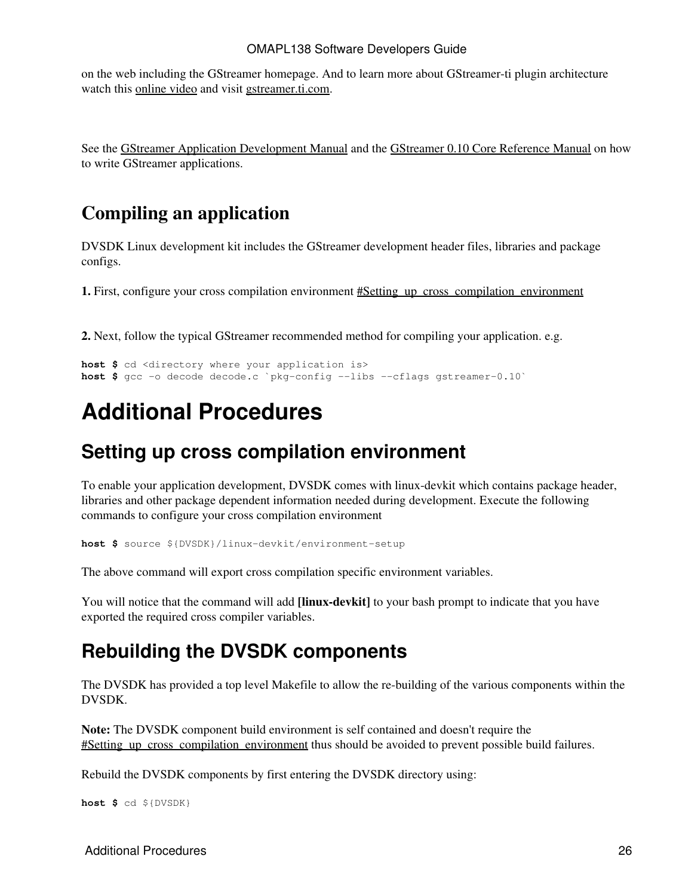on the web including the GStreamer homepage. And to learn more about GStreamer-ti plugin architecture watch this [online video](http://software-dl.ti.com/sdo/sdo_apps_public_sw/GStreamer_On_TI/FLV1/GStreamer_On_TI.htm) and visit [gstreamer.ti.com](http://gstreamer.ti.com).

See the [GStreamer Application Development Manual](http://www.gstreamer.net/data/doc/gstreamer/head/manual/html/index.html) and the [GStreamer 0.10 Core Reference Manual](http://gstreamer.freedesktop.org/data/doc/gstreamer/head/gstreamer/html) on how to write GStreamer applications.

### **Compiling an application**

DVSDK Linux development kit includes the GStreamer development header files, libraries and package configs.

**1.** First, configure your cross compilation environment  $\#$ Setting up cross compilation environment

**2.** Next, follow the typical GStreamer recommended method for compiling your application. e.g.

```
host $ cd <directory where your application is>
host $ gcc -o decode decode.c `pkg-config --libs --cflags gstreamer-0.10`
```
## <span id="page-25-0"></span>**Additional Procedures**

### <span id="page-25-1"></span>**Setting up cross compilation environment**

To enable your application development, DVSDK comes with linux-devkit which contains package header, libraries and other package dependent information needed during development. Execute the following commands to configure your cross compilation environment

**host \$** source \${DVSDK}/linux-devkit/environment-setup

The above command will export cross compilation specific environment variables.

You will notice that the command will add **[linux-devkit]** to your bash prompt to indicate that you have exported the required cross compiler variables.

### <span id="page-25-2"></span>**Rebuilding the DVSDK components**

The DVSDK has provided a top level Makefile to allow the re-building of the various components within the DVSDK.

**Note:** The DVSDK component build environment is self contained and doesn't require the #Setting up cross compilation environment thus should be avoided to prevent possible build failures.

Rebuild the DVSDK components by first entering the DVSDK directory using:

**host \$** cd \${DVSDK}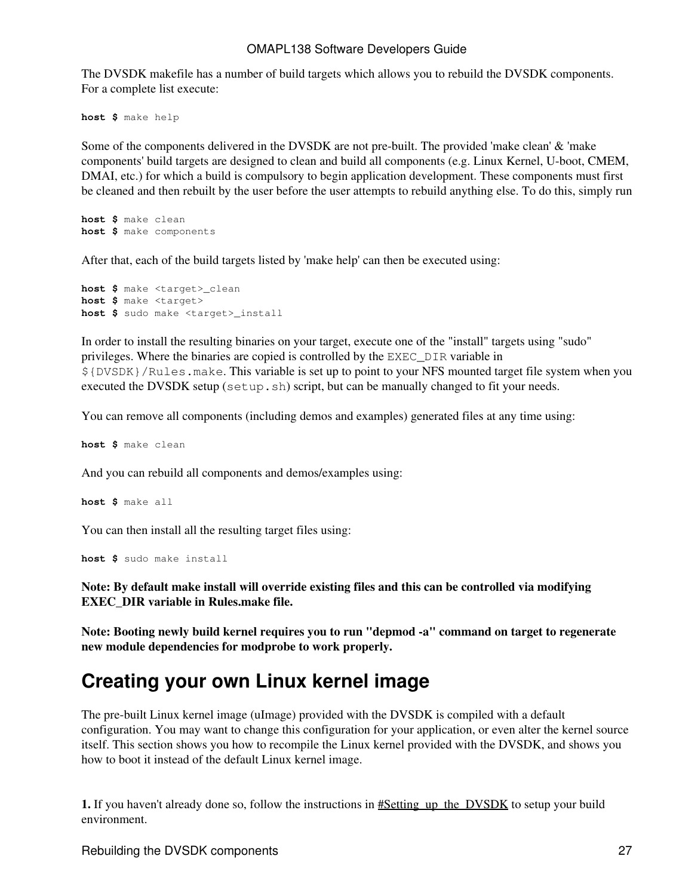The DVSDK makefile has a number of build targets which allows you to rebuild the DVSDK components. For a complete list execute:

**host \$** make help

Some of the components delivered in the DVSDK are not pre-built. The provided 'make clean' & 'make components' build targets are designed to clean and build all components (e.g. Linux Kernel, U-boot, CMEM, DMAI, etc.) for which a build is compulsory to begin application development. These components must first be cleaned and then rebuilt by the user before the user attempts to rebuild anything else. To do this, simply run

**host \$** make clean **host \$** make components

After that, each of the build targets listed by 'make help' can then be executed using:

**host \$** make <target>\_clean **host \$** make <target> **host \$** sudo make <target>\_install

In order to install the resulting binaries on your target, execute one of the "install" targets using "sudo" privileges. Where the binaries are copied is controlled by the EXEC\_DIR variable in \${DVSDK}/Rules.make. This variable is set up to point to your NFS mounted target file system when you executed the DVSDK setup (setup.sh) script, but can be manually changed to fit your needs.

You can remove all components (including demos and examples) generated files at any time using:

**host \$** make clean

And you can rebuild all components and demos/examples using:

**host \$** make all

You can then install all the resulting target files using:

**host \$** sudo make install

**Note: By default make install will override existing files and this can be controlled via modifying EXEC\_DIR variable in Rules.make file.**

**Note: Booting newly build kernel requires you to run "depmod -a" command on target to regenerate new module dependencies for modprobe to work properly.**

### <span id="page-26-0"></span>**Creating your own Linux kernel image**

The pre-built Linux kernel image (uImage) provided with the DVSDK is compiled with a default configuration. You may want to change this configuration for your application, or even alter the kernel source itself. This section shows you how to recompile the Linux kernel provided with the DVSDK, and shows you how to boot it instead of the default Linux kernel image.

**1.** If you haven't already done so, follow the instructions in  $\#$ Setting\_up\_the\_DVSDK to setup your build environment.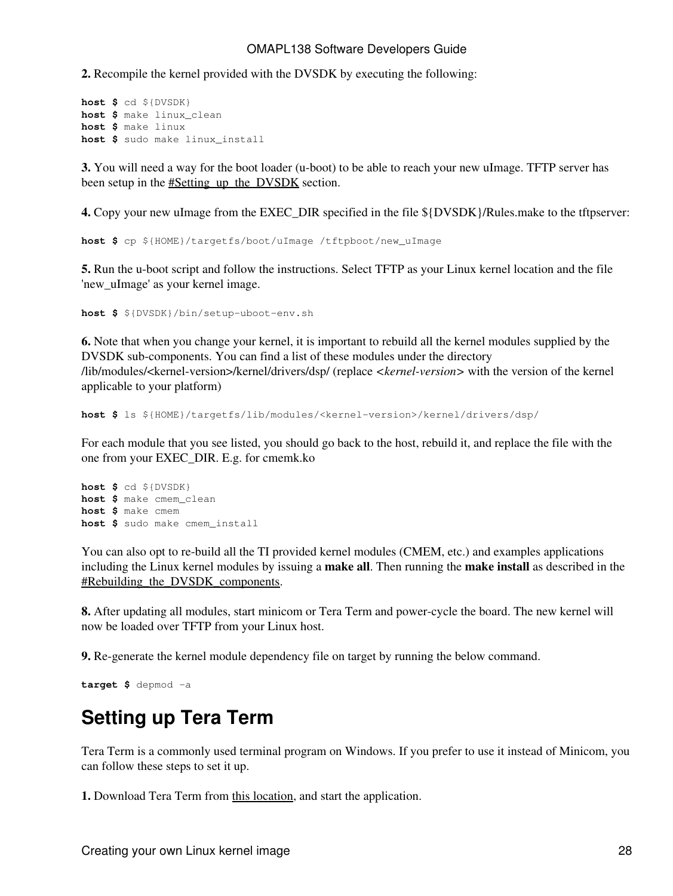**2.** Recompile the kernel provided with the DVSDK by executing the following:

```
host $ cd ${DVSDK}
host $ make linux_clean
host $ make linux
host $ sudo make linux_install
```
**3.** You will need a way for the boot loader (u-boot) to be able to reach your new uImage. TFTP server has been setup in the [#Setting\\_up\\_the\\_DVSDK](#page-1-2) section.

**4.** Copy your new uImage from the EXEC DIR specified in the file  $\frac{1}{2}$ [DVSDK}/Rules.make to the tftpserver:

**host \$** cp \${HOME}/targetfs/boot/uImage /tftpboot/new\_uImage

**5.** Run the u-boot script and follow the instructions. Select TFTP as your Linux kernel location and the file 'new\_uImage' as your kernel image.

**host \$** \${DVSDK}/bin/setup-uboot-env.sh

**6.** Note that when you change your kernel, it is important to rebuild all the kernel modules supplied by the DVSDK sub-components. You can find a list of these modules under the directory /lib/modules/<kernel-version>/kernel/drivers/dsp/ (replace *<kernel-version>* with the version of the kernel applicable to your platform)

**host \$** ls \${HOME}/targetfs/lib/modules/<kernel-version>/kernel/drivers/dsp/

For each module that you see listed, you should go back to the host, rebuild it, and replace the file with the one from your EXEC\_DIR. E.g. for cmemk.ko

```
host $ cd ${DVSDK}
host $ make cmem_clean
host $ make cmem
host $ sudo make cmem_install
```
You can also opt to re-build all the TI provided kernel modules (CMEM, etc.) and examples applications including the Linux kernel modules by issuing a **make all**. Then running the **make install** as described in the #Rebuilding the DVSDK components.

**8.** After updating all modules, start minicom or Tera Term and power-cycle the board. The new kernel will now be loaded over TFTP from your Linux host.

**9.** Re-generate the kernel module dependency file on target by running the below command.

```
target $ depmod -a
```
### <span id="page-27-0"></span>**Setting up Tera Term**

Tera Term is a commonly used terminal program on Windows. If you prefer to use it instead of Minicom, you can follow these steps to set it up.

**1.** Download Tera Term from [this location](http://hp.vector.co.jp/authors/VA002416/ttermp23.zip), and start the application.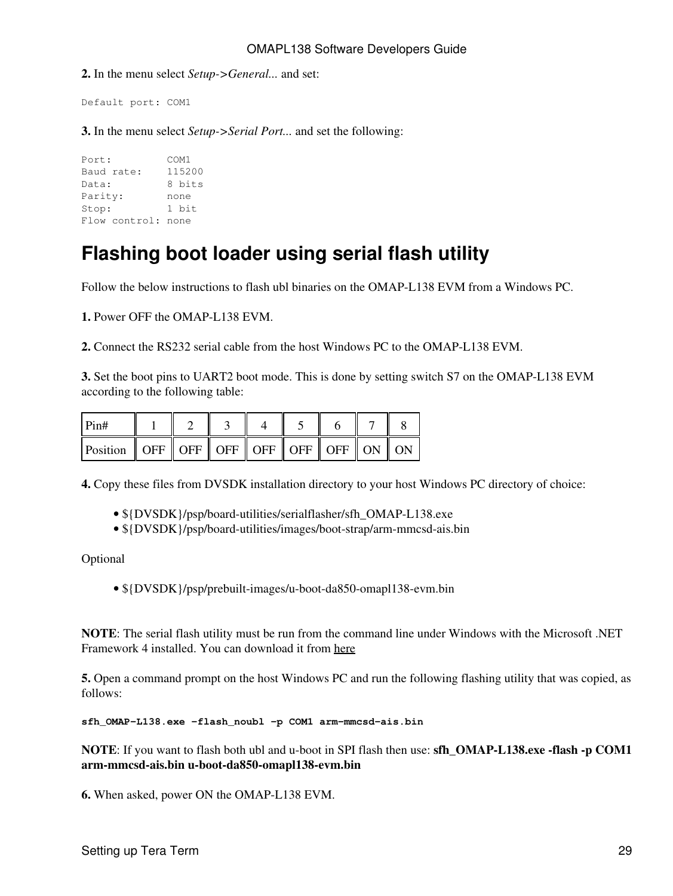**2.** In the menu select *Setup->General...* and set:

Default port: COM1

**3.** In the menu select *Setup->Serial Port...* and set the following:

Port: COM1 Baud rate: 115200 Data: 8 bits Parity: none Stop: 1 bit Flow control: none

## <span id="page-28-0"></span>**Flashing boot loader using serial flash utility**

Follow the below instructions to flash ubl binaries on the OMAP-L138 EVM from a Windows PC.

**1.** Power OFF the OMAP-L138 EVM.

**2.** Connect the RS232 serial cable from the host Windows PC to the OMAP-L138 EVM.

**3.** Set the boot pins to UART2 boot mode. This is done by setting switch S7 on the OMAP-L138 EVM according to the following table:

| Pin#                                                           |  |  |  |  |
|----------------------------------------------------------------|--|--|--|--|
| Position    OFF    OFF    OFF    OFF    OFF    OFF    ON    ON |  |  |  |  |

**4.** Copy these files from DVSDK installation directory to your host Windows PC directory of choice:

- \${DVSDK}/psp/board-utilities/serialflasher/sfh\_OMAP-L138.exe
- \${DVSDK}/psp/board-utilities/images/boot-strap/arm-mmcsd-ais.bin

Optional

• \${DVSDK}/psp/prebuilt-images/u-boot-da850-omapl138-evm.bin

**NOTE**: The serial flash utility must be run from the command line under Windows with the Microsoft .NET Framework 4 installed. You can download it from [here](http://msdn.microsoft.com/en-us/netframework/aa569263.aspx)

**5.** Open a command prompt on the host Windows PC and run the following flashing utility that was copied, as follows:

**sfh\_OMAP-L138.exe -flash\_noubl -p COM1 arm-mmcsd-ais.bin**

**NOTE**: If you want to flash both ubl and u-boot in SPI flash then use: **sfh\_OMAP-L138.exe -flash -p COM1 arm-mmcsd-ais.bin u-boot-da850-omapl138-evm.bin**

**6.** When asked, power ON the OMAP-L138 EVM.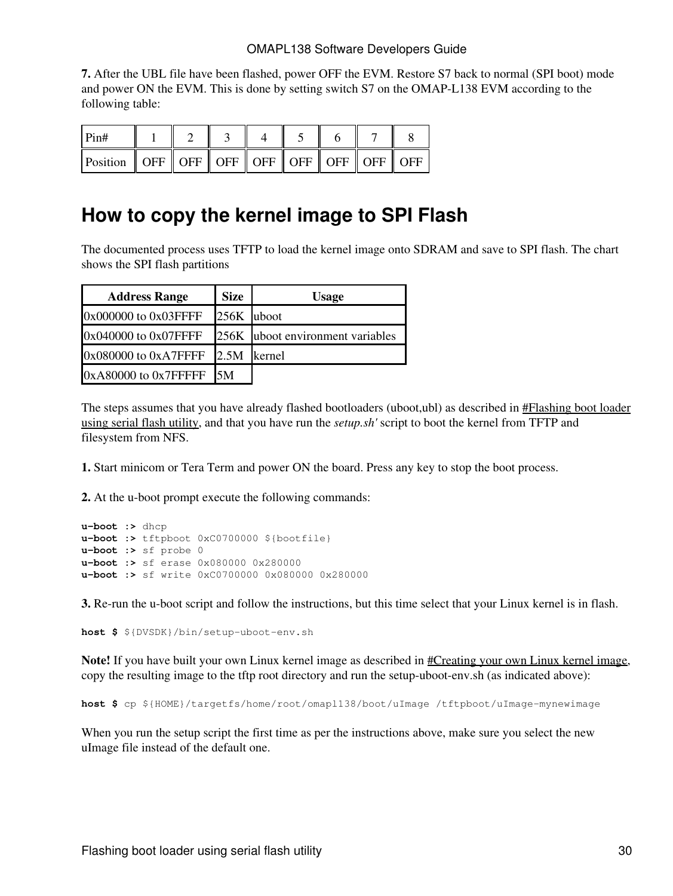**7.** After the UBL file have been flashed, power OFF the EVM. Restore S7 back to normal (SPI boot) mode and power ON the EVM. This is done by setting switch S7 on the OMAP-L138 EVM according to the following table:

| Pin#                                                                                                                                                                                                                       |  |  |  |  |
|----------------------------------------------------------------------------------------------------------------------------------------------------------------------------------------------------------------------------|--|--|--|--|
| Position    OFF    OFF    OFF    OFF    OFF    OFF    OFF    OFF    OFF    OFF    OFF    OFF    OFF    OFF    OFF    OFF    OFF    OFF    OFF    OFF    OFF    OFF    OFF    OFF    OFF    OFF    OFF    OFF    OFF    OFF |  |  |  |  |

### <span id="page-29-0"></span>**How to copy the kernel image to SPI Flash**

The documented process uses TFTP to load the kernel image onto SDRAM and save to SPI flash. The chart shows the SPI flash partitions

| <b>Address Range</b>      | <b>Size</b> | <b>Usage</b>                     |
|---------------------------|-------------|----------------------------------|
| 0x000000 to 0x03FFFF      | 256K uboot  |                                  |
| 0x040000 to 0x07FFFF      |             | 256K uboot environment variables |
| $0x080000$ to $0xA7$ FFFF | 2.5M        | <b>kernel</b>                    |
| 0xA80000 to 0x7FFFFF      | I5M         |                                  |

The steps assumes that you have already flashed bootloaders (uboot,ubl) as described in [#Flashing boot loader](#page-28-0) [using serial flash utility,](#page-28-0) and that you have run the *setup.sh'* script to boot the kernel from TFTP and filesystem from NFS.

**1.** Start minicom or Tera Term and power ON the board. Press any key to stop the boot process.

**2.** At the u-boot prompt execute the following commands:

```
u-boot :> dhcp
u-boot :> tftpboot 0xC0700000 ${bootfile}
u-boot :> sf probe 0
u-boot :> sf erase 0x080000 0x280000
u-boot :> sf write 0xC0700000 0x080000 0x280000
```
**3.** Re-run the u-boot script and follow the instructions, but this time select that your Linux kernel is in flash.

**host \$** \${DVSDK}/bin/setup-uboot-env.sh

**Note!** If you have built your own Linux kernel image as described in [#Creating your own Linux kernel image,](#page-26-0) copy the resulting image to the tftp root directory and run the setup-uboot-env.sh (as indicated above):

**host \$** cp \${HOME}/targetfs/home/root/omapl138/boot/uImage /tftpboot/uImage-mynewimage

When you run the setup script the first time as per the instructions above, make sure you select the new uImage file instead of the default one.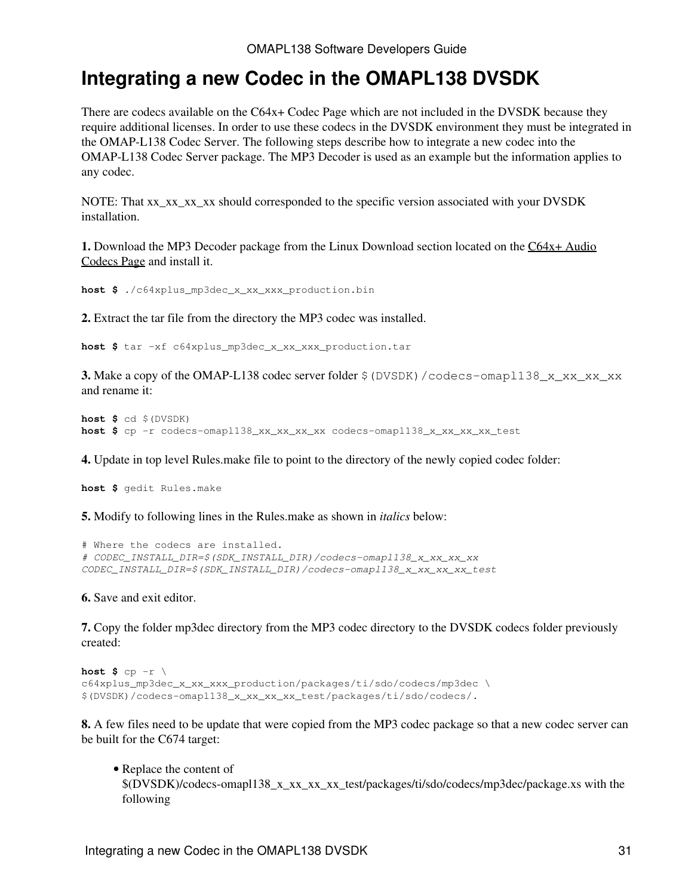### <span id="page-30-0"></span>**Integrating a new Codec in the OMAPL138 DVSDK**

There are codecs available on the C64x+ Codec Page which are not included in the DVSDK because they require additional licenses. In order to use these codecs in the DVSDK environment they must be integrated in the OMAP-L138 Codec Server. The following steps describe how to integrate a new codec into the OMAP-L138 Codec Server package. The MP3 Decoder is used as an example but the information applies to any codec.

NOTE: That xx\_xx\_xx\_xx should corresponded to the specific version associated with your DVSDK installation.

**1.** Download the MP3 Decoder package from the Linux Download section located on the [C64x+ Audio](http://software-dl.ti.com/dsps/dsps_public_sw/codecs/C64XPlus_Audio/index_FDS.html) [Codecs Page](http://software-dl.ti.com/dsps/dsps_public_sw/codecs/C64XPlus_Audio/index_FDS.html) and install it.

**host \$** ./c64xplus\_mp3dec\_x\_xx\_xxx\_production.bin

**2.** Extract the tar file from the directory the MP3 codec was installed.

**host \$** tar -xf c64xplus\_mp3dec\_x\_xx\_xxx\_production.tar

**3.** Make a copy of the OMAP-L138 codec server folder  $\frac{1}{2}$  (DVSDK) / codecs-omap1138 x xx xx xx and rename it:

```
host $ cd $(DVSDK)
host $ cp -r codecs-omapl138_xx_xx_xx_xx codecs-omapl138_x_xx_xx_xx_test
```
**4.** Update in top level Rules.make file to point to the directory of the newly copied codec folder:

**host \$** gedit Rules.make

**5.** Modify to following lines in the Rules.make as shown in *italics* below:

```
# Where the codecs are installed.
# CODEC_INSTALL_DIR=$(SDK_INSTALL_DIR)/codecs-omapl138_x_xx_xx_xx
CODEC_INSTALL_DIR=$(SDK_INSTALL_DIR)/codecs-omapl138_x_xx_xx_xx_test
```
**6.** Save and exit editor.

**7.** Copy the folder mp3dec directory from the MP3 codec directory to the DVSDK codecs folder previously created:

```
host $ cp -r \backslashc64xplus_mp3dec_x_xx_xxx_production/packages/ti/sdo/codecs/mp3dec \
$(DVSDK)/codecs-omapl138_x_xx_xx_xx_test/packages/ti/sdo/codecs/.
```
**8.** A few files need to be update that were copied from the MP3 codec package so that a new codec server can be built for the C674 target:

• Replace the content of \$(DVSDK)/codecs-omapl138\_x\_xx\_xx\_xx\_test/packages/ti/sdo/codecs/mp3dec/package.xs with the following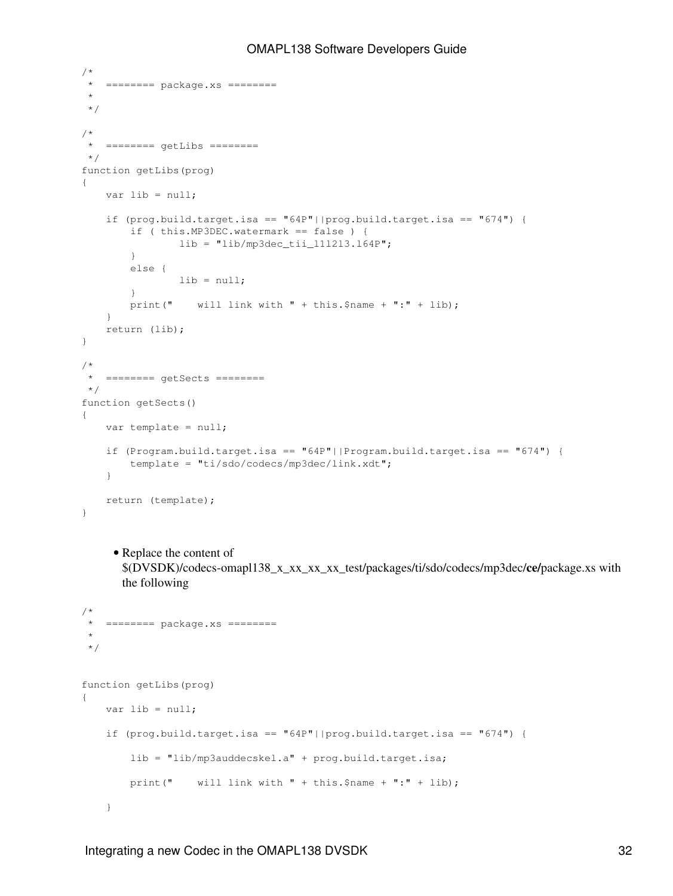```
/*
 * ======== package.xs ========
  *
 */
/*
  * ======== getLibs ========
  */
function getLibs(prog)
{
     var lib = null;
    if (prog.build.target.isa == |(prog.build.target.isa == "674")| if ( this.MP3DEC.watermark == false ) {
                lib = "lib/mp3dec\_tii_111213.164P"; }
         else {
                 lib = null;
         }
        print(" will link with " + this. $name + ":" + lib);
     }
     return (lib);
}
/*
  * ======== getSects ========
 */
function getSects()
{
     var template = null;
    if (Program.build.target.isa == |(P)P - P \geq 64P|| | Program.build.target.isa == |(P)P - P \geq 674|| template = "ti/sdo/codecs/mp3dec/link.xdt";
     }
     return (template);
}
     • Replace the content of
       $(DVSDK)/codecs-omapl138_x_xx_xx_xx_test/packages/ti/sdo/codecs/mp3dec/ce/package.xs with
       the following
/*
  * ======== package.xs ========
  *
  */
function getLibs(prog)
{
     var lib = null;
    if (prog.build.target.isa == |(prog.build.target.isa == "674")| lib = "lib/mp3auddecskel.a" + prog.build.target.isa;
        print(" will link with " + this. $name + ":" + lib);
     }
```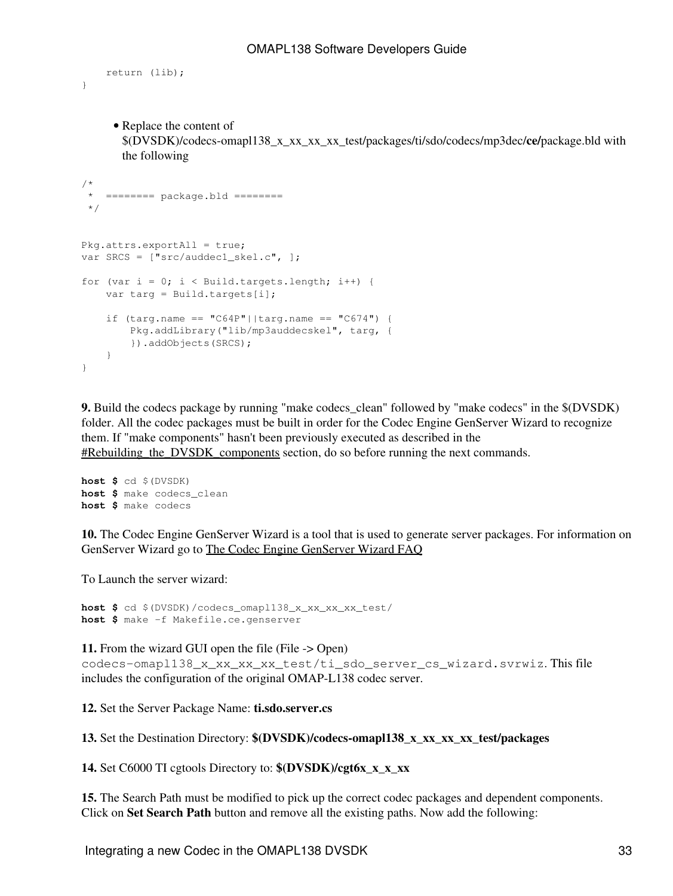```
 return (lib);
```
}

• Replace the content of

\$(DVSDK)/codecs-omapl138\_x\_xx\_xx\_xx\_test/packages/ti/sdo/codecs/mp3dec/**ce/**package.bld with the following

```
/*
  * ======== package.bld ========
 */
Pkg.attrs.exportAll = true;
var SRCS = ["src/auddec1_skel.c", ];
for (var i = 0; i < Build.targets.length; i++) {
     var targ = Build.targets[i];
    if (targ.name == "C64P"||targ.name == "C674") {
         Pkg.addLibrary("lib/mp3auddecskel", targ, {
         }).addObjects(SRCS);
    }
}
```
**9.** Build the codecs package by running "make codecs\_clean" followed by "make codecs" in the  $\text{\$(DVSDK)}$ folder. All the codec packages must be built in order for the Codec Engine GenServer Wizard to recognize them. If "make components" hasn't been previously executed as described in the #Rebuilding the DVSDK components section, do so before running the next commands.

```
host $ cd $(DVSDK)
host $ make codecs_clean
host $ make codecs
```
**10.** The Codec Engine GenServer Wizard is a tool that is used to generate server packages. For information on GenServer Wizard go to [The Codec Engine GenServer Wizard FAQ](http://processors.wiki.ti.com/index.php/Codec_Engine_GenServer_Wizard_FAQ)

To Launch the server wizard:

**host \$** cd \$(DVSDK)/codecs\_omapl138\_x\_xx\_xx\_xx\_test/ **host \$** make -f Makefile.ce.genserver

**11.** From the wizard GUI open the file (File -> Open) codecs-omapl138\_x\_xx\_xx\_xx\_test/ti\_sdo\_server\_cs\_wizard.svrwiz. This file includes the configuration of the original OMAP-L138 codec server.

**12.** Set the Server Package Name: **ti.sdo.server.cs**

**13.** Set the Destination Directory: **\$(DVSDK)/codecs-omapl138\_x\_xx\_xx\_xx\_test/packages**

**14.** Set C6000 TI cgtools Directory to: **\$(DVSDK)/cgt6x\_x\_x\_xx**

**15.** The Search Path must be modified to pick up the correct codec packages and dependent components. Click on **Set Search Path** button and remove all the existing paths. Now add the following: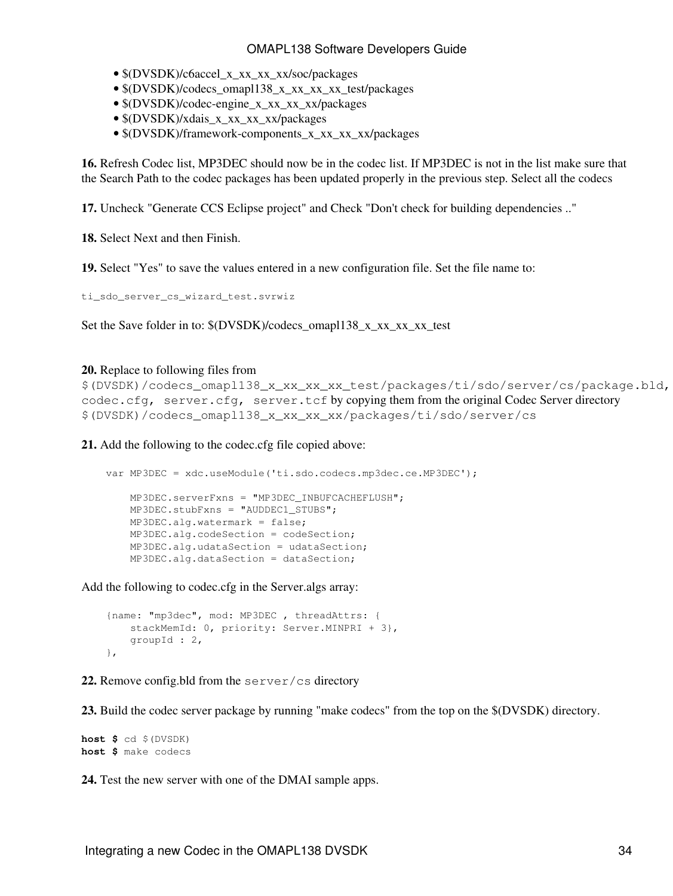- $(DVSDK)/c6$ accel x xx xx xx/soc/packages
- \$(DVSDK)/codecs\_omapl138\_x\_xx\_xx\_xx\_test/packages
- \$(DVSDK)/codec-engine\_x\_xx\_xx\_xx/packages
- $(DVSDK)/x$ dais x xx xx xx/packages
- $O(VSDK)/$ framework-components x xx xx xx/packages

**16.** Refresh Codec list, MP3DEC should now be in the codec list. If MP3DEC is not in the list make sure that the Search Path to the codec packages has been updated properly in the previous step. Select all the codecs

**17.** Uncheck "Generate CCS Eclipse project" and Check "Don't check for building dependencies .."

**18.** Select Next and then Finish.

**19.** Select "Yes" to save the values entered in a new configuration file. Set the file name to:

ti\_sdo\_server\_cs\_wizard\_test.svrwiz

Set the Save folder in to:  $\langle (DVSDK)/codecs\)$  omapl138 x xx xx xx test

#### **20.** Replace to following files from

```
$(DVSDK)/codecs_omapl138_x_xx_xx_xx_test/packages/ti/sdo/server/cs/package.bld,
codec.cfg, server.cfg, server.tcf by copying them from the original Codec Server directory
$(DVSDK)/codecs_omapl138_x_xx_xx_xx/packages/ti/sdo/server/cs
```
**21.** Add the following to the codec.cfg file copied above:

```
var MP3DEC = xdc.useModule('ti.sdo.codecs.mp3dec.ce.MP3DEC');
    MP3DEC.serverFxns = "MP3DEC_INBUFCACHEFLUSH";
    MP3DEC.stubFxns = "AUDDEC1_STUBS";
    MP3DEC.alg.watermark = false;
    MP3DEC.alg.codeSection = codeSection;
    MP3DEC.alg.udataSection = udataSection;
    MP3DEC.alg.dataSection = dataSection;
```
Add the following to codec.cfg in the Server.algs array:

```
 {name: "mp3dec", mod: MP3DEC , threadAttrs: {
   stackMemId: 0, priority: Server.MINPRI + 3},
    groupId : 2,
 },
```
**22.** Remove config.bld from the server/cs directory

**23.** Build the codec server package by running "make codecs" from the top on the \$(DVSDK) directory.

**host \$** cd \$(DVSDK) **host \$** make codecs

**24.** Test the new server with one of the DMAI sample apps.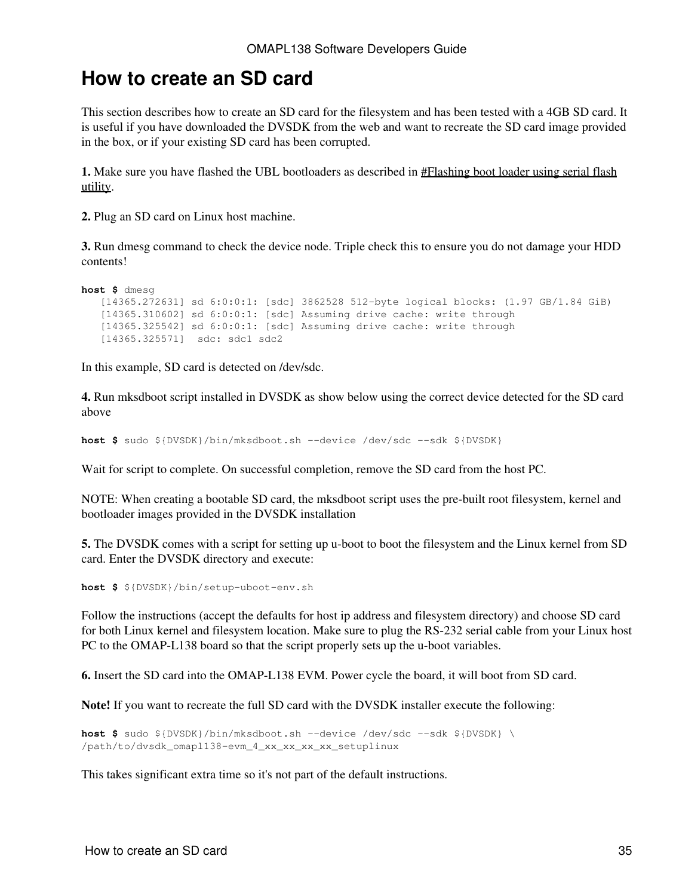### <span id="page-34-0"></span>**How to create an SD card**

This section describes how to create an SD card for the filesystem and has been tested with a 4GB SD card. It is useful if you have downloaded the DVSDK from the web and want to recreate the SD card image provided in the box, or if your existing SD card has been corrupted.

**1.** Make sure you have flashed the UBL bootloaders as described in [#Flashing boot loader using serial flash](#page-28-0) [utility](#page-28-0).

**2.** Plug an SD card on Linux host machine.

**3.** Run dmesg command to check the device node. Triple check this to ensure you do not damage your HDD contents!

```
host $ dmesg
    [14365.272631] sd 6:0:0:1: [sdc] 3862528 512-byte logical blocks: (1.97 GB/1.84 GiB)
    [14365.310602] sd 6:0:0:1: [sdc] Assuming drive cache: write through
    [14365.325542] sd 6:0:0:1: [sdc] Assuming drive cache: write through
    [14365.325571] sdc: sdc1 sdc2
```
In this example, SD card is detected on /dev/sdc.

**4.** Run mksdboot script installed in DVSDK as show below using the correct device detected for the SD card above

```
host $ sudo ${DVSDK}/bin/mksdboot.sh --device /dev/sdc --sdk ${DVSDK}
```
Wait for script to complete. On successful completion, remove the SD card from the host PC.

NOTE: When creating a bootable SD card, the mksdboot script uses the pre-built root filesystem, kernel and bootloader images provided in the DVSDK installation

**5.** The DVSDK comes with a script for setting up u-boot to boot the filesystem and the Linux kernel from SD card. Enter the DVSDK directory and execute:

**host \$** \${DVSDK}/bin/setup-uboot-env.sh

Follow the instructions (accept the defaults for host ip address and filesystem directory) and choose SD card for both Linux kernel and filesystem location. Make sure to plug the RS-232 serial cable from your Linux host PC to the OMAP-L138 board so that the script properly sets up the u-boot variables.

**6.** Insert the SD card into the OMAP-L138 EVM. Power cycle the board, it will boot from SD card.

**Note!** If you want to recreate the full SD card with the DVSDK installer execute the following:

```
host $ sudo ${DVSDK}/bin/mksdboot.sh --device /dev/sdc --sdk ${DVSDK} \
/path/to/dvsdk_omapl138-evm_4_xx_xx_xx_xx_setuplinux
```
This takes significant extra time so it's not part of the default instructions.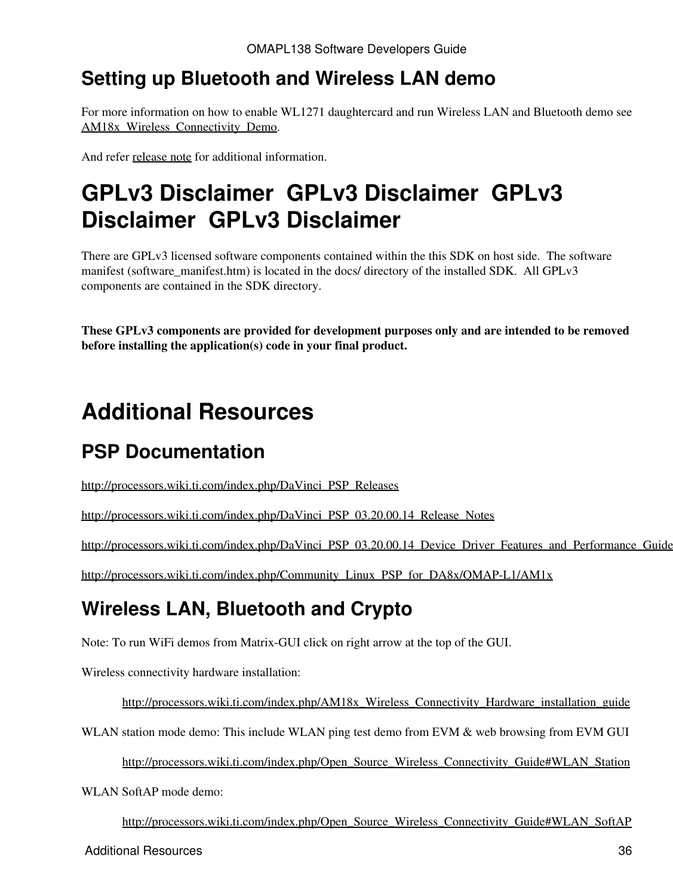## <span id="page-35-0"></span>**Setting up Bluetooth and Wireless LAN demo**

For more information on how to enable WL1271 daughtercard and run Wireless LAN and Bluetooth demo see AM18x Wireless Connectivity Demo.

And refer [release note](http://processors.wiki.ti.com/index.php/AM18x_Wireless_Connectivity_Release_Notes_Alpha_release) for additional information.

# <span id="page-35-1"></span>**GPLv3 Disclaimer GPLv3 Disclaimer GPLv3 Disclaimer GPLv3 Disclaimer**

There are GPLv3 licensed software components contained within the this SDK on host side. The software manifest (software\_manifest.htm) is located in the docs/ directory of the installed SDK. All GPLv3 components are contained in the SDK directory.

**These GPLv3 components are provided for development purposes only and are intended to be removed before installing the application(s) code in your final product.** 

# <span id="page-35-2"></span>**Additional Resources**

## <span id="page-35-3"></span>**PSP Documentation**

[http://processors.wiki.ti.com/index.php/DaVinci\\_PSP\\_Releases](http://processors.wiki.ti.com/index.php/DaVinci_PSP_Releases)

[http://processors.wiki.ti.com/index.php/DaVinci\\_PSP\\_03.20.00.14\\_Release\\_Notes](http://processors.wiki.ti.com/index.php/DaVinci_PSP_03.20.00.14_Release_Notes)

[http://processors.wiki.ti.com/index.php/DaVinci\\_PSP\\_03.20.00.14\\_Device\\_Driver\\_Features\\_and\\_Performance\\_Guide](http://processors.wiki.ti.com/index.php/DaVinci_PSP_03.20.00.14_Device_Driver_Features_and_Performance_Guide)

[http://processors.wiki.ti.com/index.php/Community\\_Linux\\_PSP\\_for\\_DA8x/OMAP-L1/AM1x](http://processors.wiki.ti.com/index.php/Community_Linux_PSP_for_DA8x/OMAP-L1/AM1x)

## <span id="page-35-4"></span>**Wireless LAN, Bluetooth and Crypto**

Note: To run WiFi demos from Matrix-GUI click on right arrow at the top of the GUI.

Wireless connectivity hardware installation:

[http://processors.wiki.ti.com/index.php/AM18x\\_Wireless\\_Connectivity\\_Hardware\\_installation\\_guide](http://processors.wiki.ti.com/index.php/AM18x_Wireless_Connectivity_Hardware_installation_guide)

WLAN station mode demo: This include WLAN ping test demo from EVM & web browsing from EVM GUI

[http://processors.wiki.ti.com/index.php/Open\\_Source\\_Wireless\\_Connectivity\\_Guide#WLAN\\_Station](http://processors.wiki.ti.com/index.php/Open_Source_Wireless_Connectivity_Guide#WLAN_Station)

WLAN SoftAP mode demo:

[http://processors.wiki.ti.com/index.php/Open\\_Source\\_Wireless\\_Connectivity\\_Guide#WLAN\\_SoftAP](http://processors.wiki.ti.com/index.php/Open_Source_Wireless_Connectivity_Guide#WLAN_SoftAP)